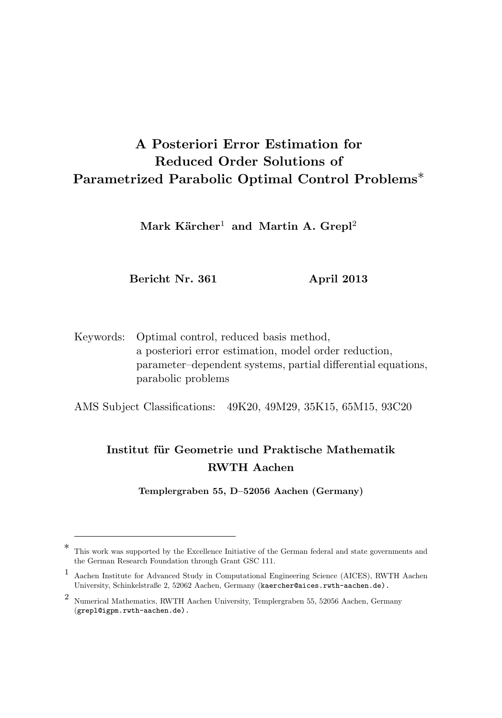# A Posteriori Error Estimation for Reduced Order Solutions of Parametrized Parabolic Optimal Control Problems∗

 $\rm{Mark\ K\ddot{a}rcher^1\ and\ Martin\ A.\ Grepl^2}$ 

Bericht Nr. 361 April 2013

Keywords: Optimal control, reduced basis method, a posteriori error estimation, model order reduction, parameter–dependent systems, partial differential equations, parabolic problems

AMS Subject Classifications: 49K20, 49M29, 35K15, 65M15, 93C20

# Institut für Geometrie und Praktische Mathematik RWTH Aachen

Templergraben 55, D–52056 Aachen (Germany)

<sup>∗</sup> This work was supported by the Excellence Initiative of the German federal and state governments and the German Research Foundation through Grant GSC 111.

<sup>1</sup> Aachen Institute for Advanced Study in Computational Engineering Science (AICES), RWTH Aachen University, Schinkelstraße 2, 52062 Aachen, Germany (kaercher@aices.rwth-aachen.de).

<sup>2</sup> Numerical Mathematics, RWTH Aachen University, Templergraben 55, 52056 Aachen, Germany (grepl@igpm.rwth-aachen.de).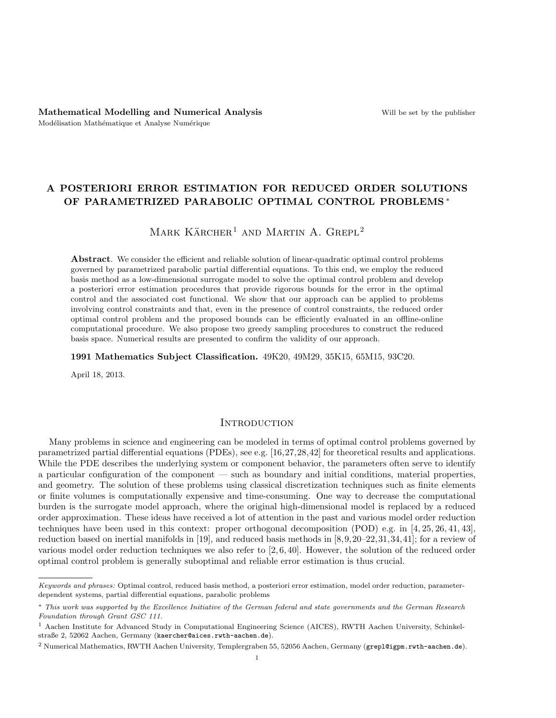### Mathematical Modelling and Numerical Analysis Will be set by the publisher Modélisation Mathématique et Analyse Numérique

# A POSTERIORI ERROR ESTIMATION FOR REDUCED ORDER SOLUTIONS OF PARAMETRIZED PARABOLIC OPTIMAL CONTROL PROBLEMS <sup>∗</sup>

# MARK  $K\ddot{A}RCHER^1$  and Martin A. GREPL<sup>2</sup>

Abstract. We consider the efficient and reliable solution of linear-quadratic optimal control problems governed by parametrized parabolic partial differential equations. To this end, we employ the reduced basis method as a low-dimensional surrogate model to solve the optimal control problem and develop a posteriori error estimation procedures that provide rigorous bounds for the error in the optimal control and the associated cost functional. We show that our approach can be applied to problems involving control constraints and that, even in the presence of control constraints, the reduced order optimal control problem and the proposed bounds can be efficiently evaluated in an offline-online computational procedure. We also propose two greedy sampling procedures to construct the reduced basis space. Numerical results are presented to confirm the validity of our approach.

#### 1991 Mathematics Subject Classification. 49K20, 49M29, 35K15, 65M15, 93C20.

April 18, 2013.

#### **INTRODUCTION**

Many problems in science and engineering can be modeled in terms of optimal control problems governed by parametrized partial differential equations (PDEs), see e.g. [16,27,28,42] for theoretical results and applications. While the PDE describes the underlying system or component behavior, the parameters often serve to identify a particular configuration of the component — such as boundary and initial conditions, material properties, and geometry. The solution of these problems using classical discretization techniques such as finite elements or finite volumes is computationally expensive and time-consuming. One way to decrease the computational burden is the surrogate model approach, where the original high-dimensional model is replaced by a reduced order approximation. These ideas have received a lot of attention in the past and various model order reduction techniques have been used in this context: proper orthogonal decomposition (POD) e.g. in [4, 25, 26, 41, 43], reduction based on inertial manifolds in [19], and reduced basis methods in [8,9,20–22,31,34,41]; for a review of various model order reduction techniques we also refer to [2, 6, 40]. However, the solution of the reduced order optimal control problem is generally suboptimal and reliable error estimation is thus crucial.

Keywords and phrases: Optimal control, reduced basis method, a posteriori error estimation, model order reduction, parameterdependent systems, partial differential equations, parabolic problems

<sup>∗</sup> This work was supported by the Excellence Initiative of the German federal and state governments and the German Research Foundation through Grant GSC 111.

<sup>1</sup> Aachen Institute for Advanced Study in Computational Engineering Science (AICES), RWTH Aachen University, Schinkelstraße 2, 52062 Aachen, Germany (kaercher@aices.rwth-aachen.de).

<sup>2</sup> Numerical Mathematics, RWTH Aachen University, Templergraben 55, 52056 Aachen, Germany (grepl@igpm.rwth-aachen.de).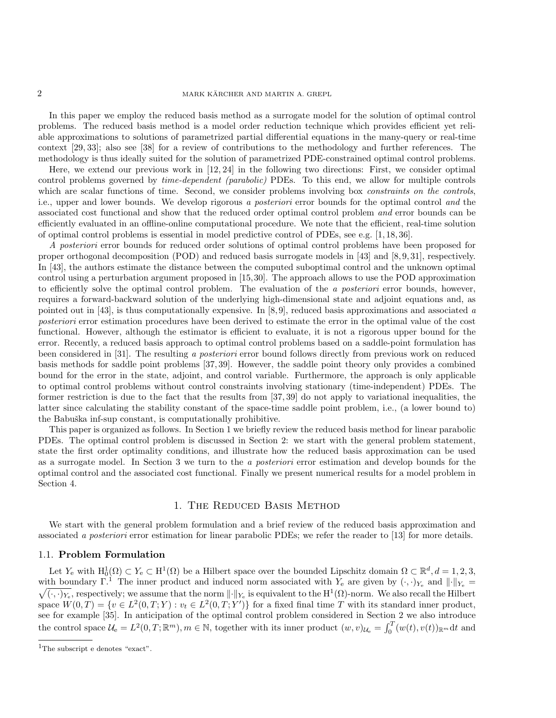In this paper we employ the reduced basis method as a surrogate model for the solution of optimal control problems. The reduced basis method is a model order reduction technique which provides efficient yet reliable approximations to solutions of parametrized partial differential equations in the many-query or real-time context [29, 33]; also see [38] for a review of contributions to the methodology and further references. The methodology is thus ideally suited for the solution of parametrized PDE-constrained optimal control problems.

Here, we extend our previous work in [12, 24] in the following two directions: First, we consider optimal control problems governed by time-dependent (parabolic) PDEs. To this end, we allow for multiple controls which are scalar functions of time. Second, we consider problems involving box *constraints on the controls*, i.e., upper and lower bounds. We develop rigorous a posteriori error bounds for the optimal control and the associated cost functional and show that the reduced order optimal control problem and error bounds can be efficiently evaluated in an offline-online computational procedure. We note that the efficient, real-time solution of optimal control problems is essential in model predictive control of PDEs, see e.g. [1, 18, 36].

A posteriori error bounds for reduced order solutions of optimal control problems have been proposed for proper orthogonal decomposition (POD) and reduced basis surrogate models in [43] and [8, 9, 31], respectively. In [43], the authors estimate the distance between the computed suboptimal control and the unknown optimal control using a perturbation argument proposed in [15,30]. The approach allows to use the POD approximation to efficiently solve the optimal control problem. The evaluation of the a posteriori error bounds, however, requires a forward-backward solution of the underlying high-dimensional state and adjoint equations and, as pointed out in [43], is thus computationally expensive. In [8,9], reduced basis approximations and associated a posteriori error estimation procedures have been derived to estimate the error in the optimal value of the cost functional. However, although the estimator is efficient to evaluate, it is not a rigorous upper bound for the error. Recently, a reduced basis approach to optimal control problems based on a saddle-point formulation has been considered in [31]. The resulting a posteriori error bound follows directly from previous work on reduced basis methods for saddle point problems [37, 39]. However, the saddle point theory only provides a combined bound for the error in the state, adjoint, and control variable. Furthermore, the approach is only applicable to optimal control problems without control constraints involving stationary (time-independent) PDEs. The former restriction is due to the fact that the results from [37, 39] do not apply to variational inequalities, the latter since calculating the stability constant of the space-time saddle point problem, i.e., (a lower bound to) the Babuška inf-sup constant, is computationally prohibitive.

This paper is organized as follows. In Section 1 we briefly review the reduced basis method for linear parabolic PDEs. The optimal control problem is discussed in Section 2: we start with the general problem statement, state the first order optimality conditions, and illustrate how the reduced basis approximation can be used as a surrogate model. In Section 3 we turn to the a posteriori error estimation and develop bounds for the optimal control and the associated cost functional. Finally we present numerical results for a model problem in Section 4.

# 1. The Reduced Basis Method

We start with the general problem formulation and a brief review of the reduced basis approximation and associated a posteriori error estimation for linear parabolic PDEs; we refer the reader to [13] for more details.

#### 1.1. Problem Formulation

Let  $Y_e$  with  $H_0^1(\Omega) \subset Y_e \subset H^1(\Omega)$  be a Hilbert space over the bounded Lipschitz domain  $\Omega \subset \mathbb{R}^d, d = 1, 2, 3,$ with boundary  $\Gamma$ <sup>1</sup>. The inner product and induced norm associated with  $Y_e$  are given by  $(\cdot, \cdot)_{Y_e}$  and  $\|\cdot\|_{Y_e}$  $\sqrt{(\cdot,\cdot)_{Y_e}}$ , respectively; we assume that the norm  $\|\cdot\|_{Y_e}$  is equivalent to the  $\mathrm{H}^1(\Omega)$ -norm. We also recall the Hilbert space  $W(0,T) = \{v \in L^2(0,T;Y) : v_t \in L^2(0,T;Y')\}$  for a fixed final time T with its standard inner product, see for example [35]. In anticipation of the optimal control problem considered in Section 2 we also introduce the control space  $\mathcal{U}_e = L^2(0,T;\mathbb{R}^m)$ ,  $m \in \mathbb{N}$ , together with its inner product  $(w, v)_{\mathcal{U}_e} = \int_0^T (w(t), v(t))_{\mathbb{R}^m} dt$  and

<sup>&</sup>lt;sup>1</sup>The subscript e denotes "exact".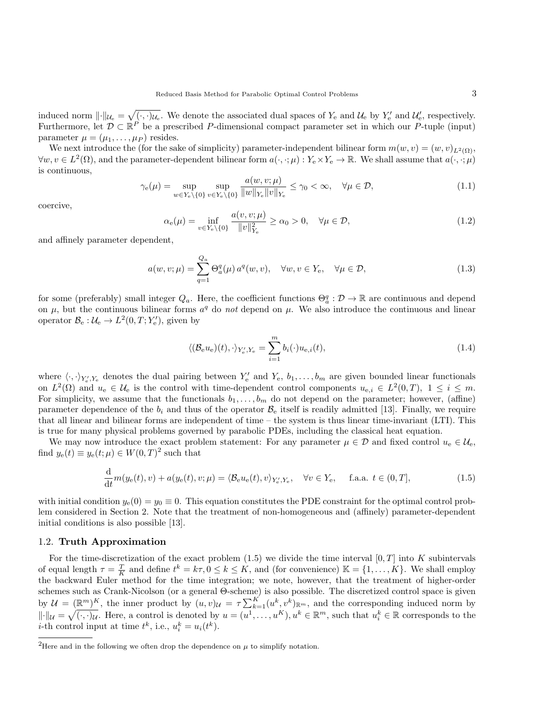induced norm  $\lVert \cdot \rVert_{\mathcal{U}_e} = \sqrt{(\cdot, \cdot)_{\mathcal{U}_e}}$ . We denote the associated dual spaces of  $Y_e$  and  $\mathcal{U}_e$  by  $Y'_e$  and  $\mathcal{U}'_e$ , respectively. Furthermore, let  $\mathcal{D} \subset \mathbb{R}^P$  be a prescribed P-dimensional compact parameter set in which our P-tuple (input) parameter  $\mu = (\mu_1, \ldots, \mu_P)$  resides.

We next introduce the (for the sake of simplicity) parameter-independent bilinear form  $m(w, v) = (w, v)_{L^2(\Omega)}$ ,  $\forall w, v \in L^2(\Omega)$ , and the parameter-dependent bilinear form  $a(\cdot, \cdot; \mu) : Y_e \times Y_e \to \mathbb{R}$ . We shall assume that  $a(\cdot, \cdot; \mu)$ is continuous,

$$
\gamma_{\mathbf{e}}(\mu) = \sup_{w \in Y_{\mathbf{e}} \setminus \{0\}} \sup_{v \in Y_{\mathbf{e}} \setminus \{0\}} \frac{a(w, v; \mu)}{\|w\|_{Y_{\mathbf{e}}}\|v\|_{Y_{\mathbf{e}}}} \le \gamma_0 < \infty, \quad \forall \mu \in \mathcal{D}, \tag{1.1}
$$

coercive,

$$
\alpha_{\mathbf{e}}(\mu) = \inf_{v \in Y_{\mathbf{e}} \setminus \{0\}} \frac{a(v, v; \mu)}{\|v\|_{Y_{\mathbf{e}}}^2} \ge \alpha_0 > 0, \quad \forall \mu \in \mathcal{D}, \tag{1.2}
$$

and affinely parameter dependent,

$$
a(w, v; \mu) = \sum_{q=1}^{Q_a} \Theta_a^q(\mu) a^q(w, v), \quad \forall w, v \in Y_e, \quad \forall \mu \in \mathcal{D}, \tag{1.3}
$$

for some (preferably) small integer  $Q_a$ . Here, the coefficient functions  $\Theta_a^q$ :  $\mathcal{D} \to \mathbb{R}$  are continuous and depend on  $\mu$ , but the continuous bilinear forms  $a^q$  do not depend on  $\mu$ . We also introduce the continuous and linear operator  $\mathcal{B}_e : \mathcal{U}_e \to L^2(0,T;Y'_e)$ , given by

$$
\langle (\mathcal{B}_{e}u_{e})(t), \cdot \rangle_{Y'_{e}, Y_{e}} = \sum_{i=1}^{m} b_{i}(\cdot)u_{e,i}(t), \qquad (1.4)
$$

where  $\langle \cdot, \cdot \rangle_{Y'_e, Y_e}$  denotes the dual pairing between  $Y'_e$  and  $Y_e$ ,  $b_1, \ldots, b_m$  are given bounded linear functionals on  $L^2(\Omega)$  and  $u_e \in \mathcal{U}_e$  is the control with time-dependent control components  $u_{e,i} \in L^2(0,T)$ ,  $1 \leq i \leq m$ . For simplicity, we assume that the functionals  $b_1, \ldots, b_m$  do not depend on the parameter; however, (affine) parameter dependence of the  $b_i$  and thus of the operator  $\mathcal{B}_e$  itself is readily admitted [13]. Finally, we require that all linear and bilinear forms are independent of time – the system is thus linear time-invariant (LTI). This is true for many physical problems governed by parabolic PDEs, including the classical heat equation.

We may now introduce the exact problem statement: For any parameter  $\mu \in \mathcal{D}$  and fixed control  $u_e \in \mathcal{U}_e$ , find  $y_{e}(t) \equiv y_{e}(t; \mu) \in W(0,T)^{2}$  such that

$$
\frac{\mathrm{d}}{\mathrm{d}t}m(y_{\mathrm{e}}(t),v) + a(y_{\mathrm{e}}(t),v;\mu) = \langle \mathcal{B}_{\mathrm{e}}u_{\mathrm{e}}(t),v \rangle_{Y_{\mathrm{e}}',Y_{\mathrm{e}}}, \quad \forall v \in Y_{\mathrm{e}}, \quad \text{f.a.a. } t \in (0,T],\tag{1.5}
$$

with initial condition  $y_e(0) = y_0 \equiv 0$ . This equation constitutes the PDE constraint for the optimal control problem considered in Section 2. Note that the treatment of non-homogeneous and (affinely) parameter-dependent initial conditions is also possible [13].

#### 1.2. Truth Approximation

For the time-discretization of the exact problem  $(1.5)$  we divide the time interval  $[0, T]$  into K subintervals of equal length  $\tau = \frac{T}{K}$  and define  $t^k = k\tau, 0 \le k \le K$ , and (for convenience)  $\mathbb{K} = \{1, \ldots, K\}$ . We shall employ the backward Euler method for the time integration; we note, however, that the treatment of higher-order schemes such as Crank-Nicolson (or a general Θ-scheme) is also possible. The discretized control space is given by  $\mathcal{U} = (\mathbb{R}^m)^K$ , the inner product by  $(u, v)_{\mathcal{U}} = \tau \sum_{k=1}^K (u^k, v^k)_{\mathbb{R}^m}$ , and the corresponding induced norm by  $\|\cdot\|_{\mathcal{U}} = \sqrt{(\cdot, \cdot)_{\mathcal{U}}}$ . Here, a control is denoted by  $u = (u^1, \dots, u^K)$ ,  $u^k \in \mathbb{R}^m$ , such that  $u_i^k \in \mathbb{R}$  corresponds to the *i*-th control input at time  $t^k$ , i.e.,  $u_i^k = u_i(t^k)$ .

<sup>&</sup>lt;sup>2</sup>Here and in the following we often drop the dependence on  $\mu$  to simplify notation.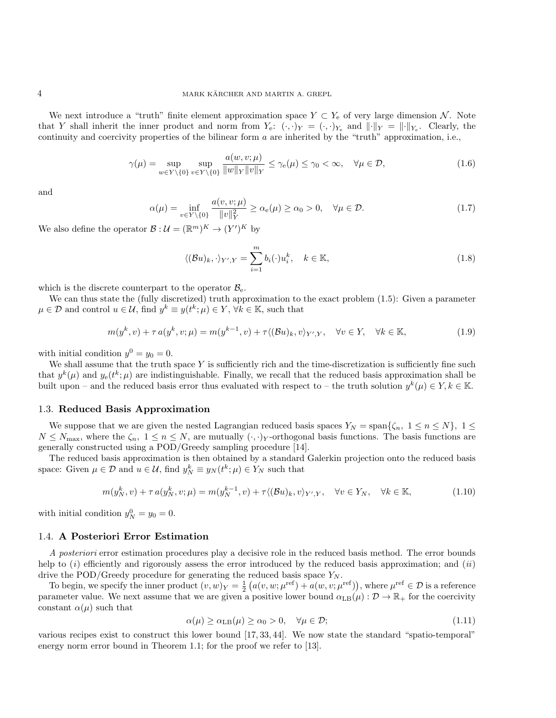We next introduce a "truth" finite element approximation space  $Y \subset Y_e$  of very large dimension N. Note that Y shall inherit the inner product and norm from  $Y_e$ :  $(\cdot, \cdot)_Y = (\cdot, \cdot)_{Y_e}$  and  $||\cdot||_Y = ||\cdot||_{Y_e}$ . Clearly, the continuity and coercivity properties of the bilinear form a are inherited by the "truth" approximation, i.e.,

$$
\gamma(\mu) = \sup_{w \in Y \setminus \{0\}} \sup_{v \in Y \setminus \{0\}} \frac{a(w, v; \mu)}{\|w\|_{Y}\|v\|_{Y}} \le \gamma_{e}(\mu) \le \gamma_{0} < \infty, \quad \forall \mu \in \mathcal{D},
$$
\n(1.6)

and

$$
\alpha(\mu) = \inf_{v \in Y \setminus \{0\}} \frac{a(v, v; \mu)}{\|v\|_Y^2} \ge \alpha_e(\mu) \ge \alpha_0 > 0, \quad \forall \mu \in \mathcal{D}.
$$
 (1.7)

We also define the operator  $\mathcal{B}: \mathcal{U} = (\mathbb{R}^m)^K \to (Y')^K$  by

$$
\langle (\mathcal{B}u)_k, \cdot \rangle_{Y',Y} = \sum_{i=1}^m b_i(\cdot) u_i^k, \quad k \in \mathbb{K},\tag{1.8}
$$

which is the discrete counterpart to the operator  $\mathcal{B}_{e}$ .

We can thus state the (fully discretized) truth approximation to the exact problem  $(1.5)$ : Given a parameter  $\mu \in \mathcal{D}$  and control  $u \in \mathcal{U}$ , find  $y^k \equiv y(t^k; \mu) \in Y$ ,  $\forall k \in \mathbb{K}$ , such that

$$
m(y^k, v) + \tau a(y^k, v; \mu) = m(y^{k-1}, v) + \tau \langle (\mathcal{B}u)_k, v \rangle_{Y', Y}, \quad \forall v \in Y, \quad \forall k \in \mathbb{K},
$$
\n(1.9)

with initial condition  $y^0 = y_0 = 0$ .

We shall assume that the truth space  $Y$  is sufficiently rich and the time-discretization is sufficiently fine such that  $y^k(\mu)$  and  $y_e(t^k; \mu)$  are indistinguishable. Finally, we recall that the reduced basis approximation shall be built upon – and the reduced basis error thus evaluated with respect to – the truth solution  $y^k(\mu) \in Y, k \in \mathbb{K}$ .

#### 1.3. Reduced Basis Approximation

We suppose that we are given the nested Lagrangian reduced basis spaces  $Y_N = \text{span}\{\zeta_n, 1 \leq n \leq N\}, 1 \leq$  $N \leq N_{\text{max}}$ , where the  $\zeta_n$ ,  $1 \leq n \leq N$ , are mutually  $(\cdot, \cdot)_Y$ -orthogonal basis functions. The basis functions are generally constructed using a POD/Greedy sampling procedure [14].

The reduced basis approximation is then obtained by a standard Galerkin projection onto the reduced basis space: Given  $\mu \in \mathcal{D}$  and  $u \in \mathcal{U}$ , find  $y_N^k \equiv y_N(t^k; \mu) \in Y_N$  such that

$$
m(y_N^k, v) + \tau a(y_N^k, v; \mu) = m(y_N^{k-1}, v) + \tau \langle (\mathcal{B}u)_k, v \rangle_{Y',Y}, \quad \forall v \in Y_N, \quad \forall k \in \mathbb{K},
$$
\n(1.10)

with initial condition  $y_N^0 = y_0 = 0$ .

#### 1.4. A Posteriori Error Estimation

A posteriori error estimation procedures play a decisive role in the reduced basis method. The error bounds help to  $(i)$  efficiently and rigorously assess the error introduced by the reduced basis approximation; and  $(ii)$ drive the POD/Greedy procedure for generating the reduced basis space  $Y_N$ .

To begin, we specify the inner product  $(v, w)_Y = \frac{1}{2} (a(v, w; \mu^{\text{ref}}) + a(w, v; \mu^{\text{ref}}))$ , where  $\mu^{\text{ref}} \in \mathcal{D}$  is a reference parameter value. We next assume that we are given a positive lower bound  $\alpha_{\text{LB}}(\mu): \mathcal{D} \to \mathbb{R}_+$  for the coercivity constant  $\alpha(\mu)$  such that

$$
\alpha(\mu) \ge \alpha_{\text{LB}}(\mu) \ge \alpha_0 > 0, \quad \forall \mu \in \mathcal{D};\tag{1.11}
$$

various recipes exist to construct this lower bound [17, 33, 44]. We now state the standard "spatio-temporal" energy norm error bound in Theorem 1.1; for the proof we refer to [13].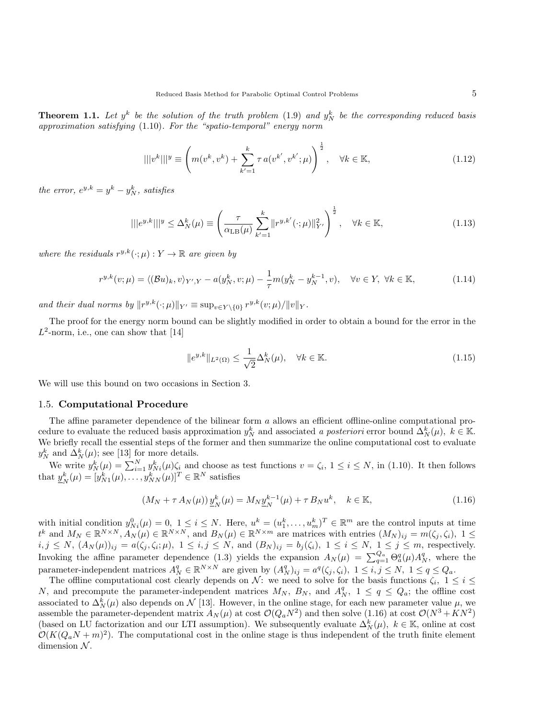**Theorem 1.1.** Let  $y^k$  be the solution of the truth problem (1.9) and  $y_N^k$  be the corresponding reduced basis approximation satisfying (1.10). For the "spatio-temporal" energy norm

$$
|||v^k|||^y \equiv \left(m(v^k, v^k) + \sum_{k'=1}^k \tau a(v^{k'}, v^{k'}; \mu)\right)^{\frac{1}{2}}, \quad \forall k \in \mathbb{K},
$$
\n(1.12)

the error,  $e^{y,k} = y^k - y_N^k$ , satisfies

$$
|||e^{y,k}|||^{y} \le \Delta_N^k(\mu) \equiv \left(\frac{\tau}{\alpha_{\text{LB}}(\mu)} \sum_{k'=1}^k ||r^{y,k'}(\cdot;\mu)||_{Y'}^2\right)^{\frac{1}{2}}, \quad \forall k \in \mathbb{K},
$$
\n(1.13)

where the residuals  $r^{y,k}(\cdot; \mu): Y \to \mathbb{R}$  are given by

$$
r^{y,k}(v;\mu) = \langle (\mathcal{B}u)_k, v \rangle_{Y',Y} - a(y_N^k, v;\mu) - \frac{1}{\tau}m(y_N^k - y_N^{k-1}, v), \quad \forall v \in Y, \ \forall k \in \mathbb{K},\tag{1.14}
$$

and their dual norms by  $||r^{y,k}(\cdot;\mu)||_{Y'} \equiv \sup_{v \in Y \setminus \{0\}} r^{y,k}(v;\mu)/||v||_Y$ .

The proof for the energy norm bound can be slightly modified in order to obtain a bound for the error in the  $L^2$ -norm, i.e., one can show that [14]

$$
||e^{y,k}||_{L^2(\Omega)} \le \frac{1}{\sqrt{2}} \Delta_N^k(\mu), \quad \forall k \in \mathbb{K}.\tag{1.15}
$$

We will use this bound on two occasions in Section 3.

#### 1.5. Computational Procedure

The affine parameter dependence of the bilinear form a allows an efficient offline-online computational procedure to evaluate the reduced basis approximation  $y_N^k$  and associated a posteriori error bound  $\Delta_N^k(\mu)$ ,  $k \in \mathbb{K}$ . We briefly recall the essential steps of the former and then summarize the online computational cost to evaluate  $y_N^k$  and  $\Delta_N^k(\mu)$ ; see [13] for more details.

We write  $y_N^k(\mu) = \sum_{i=1}^N y_{Ni}^k(\mu) \zeta_i$  and choose as test functions  $v = \zeta_i$ ,  $1 \le i \le N$ , in (1.10). It then follows that  $y_{\lambda}^{k}$  $N_k^k(\mu) = [y_{N1}^k(\mu), \ldots, y_{NN}^k(\mu)]^T \in \mathbb{R}^N$  satisfies

$$
(M_N + \tau A_N(\mu)) \underline{y}_N^k(\mu) = M_N \underline{y}_N^{k-1}(\mu) + \tau B_N u^k, \quad k \in \mathbb{K},
$$
\n(1.16)

with initial condition  $y_{Ni}^0(\mu) = 0, 1 \le i \le N$ . Here,  $u^k = (u_1^k, \dots, u_m^k)^T \in \mathbb{R}^m$  are the control inputs at time  $t^k$  and  $M_N \in \mathbb{R}^{N \times N}, A_N(\mu) \in \mathbb{R}^{N \times N}$ , and  $B_N(\mu) \in \mathbb{R}^{N \times m}$  are matrices with entries  $(M_N)_{ij} = m(\zeta_j, \zeta_i), 1 \leq$  $i, j \leq N$ ,  $(A_N(\mu))_{ij} = a(\zeta_j, \zeta_i; \mu)$ ,  $1 \leq i, j \leq N$ , and  $(B_N)_{ij} = b_j(\zeta_i)$ ,  $1 \leq i \leq N$ ,  $1 \leq j \leq m$ , respectively. Invoking the affine parameter dependence (1.3) yields the expansion  $A_N(\mu) = \sum_{q=1}^{Q_a} \Theta_a^q(\mu) A_N^q$ , where the parameter-independent matrices  $A_N^q \in \mathbb{R}^{N \times N}$  are given by  $(A_N^q)_{ij} = a^q(\zeta_j, \zeta_i)$ ,  $1 \leq i, j \leq N$ ,  $1 \leq q \leq Q_a$ .

The offline computational cost clearly depends on N: we need to solve for the basis functions  $\zeta_i$ ,  $1 \leq i \leq$ N, and precompute the parameter-independent matrices  $M_N$ ,  $B_N$ , and  $A_N^q$ ,  $1 \le q \le Q_a$ ; the offline cost associated to  $\Delta_N^k(\mu)$  also depends on N [13]. However, in the online stage, for each new parameter value  $\mu$ , we assemble the parameter-dependent matrix  $A_N(\mu)$  at cost  $\mathcal{O}(Q_a N^2)$  and then solve  $(1.16)$  at cost  $\mathcal{O}(N^3 + KN^2)$ (based on LU factorization and our LTI assumption). We subsequently evaluate  $\Delta_N^k(\mu)$ ,  $k \in \mathbb{K}$ , online at cost  $\mathcal{O}(K(Q_a N + m)^2)$ . The computational cost in the online stage is thus independent of the truth finite element dimension  $\mathcal N$ .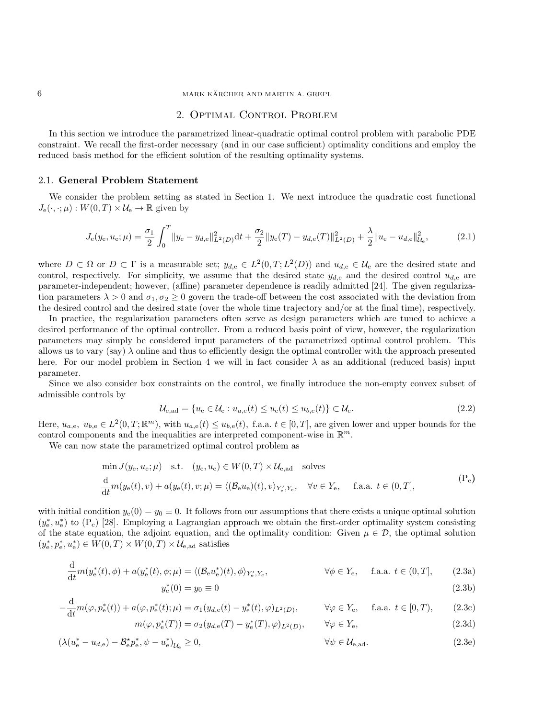# 6 MARK KÄRCHER AND MARTIN A. GREPL

# 2. Optimal Control Problem

In this section we introduce the parametrized linear-quadratic optimal control problem with parabolic PDE constraint. We recall the first-order necessary (and in our case sufficient) optimality conditions and employ the reduced basis method for the efficient solution of the resulting optimality systems.

# 2.1. General Problem Statement

We consider the problem setting as stated in Section 1. We next introduce the quadratic cost functional  $J_{\rm e}(\cdot,\cdot;\mu):W(0,T)\times\mathcal{U}_{\rm e}\to\mathbb{R}$  given by

$$
J_{\mathbf{e}}(y_{\mathbf{e}}, u_{\mathbf{e}}; \mu) = \frac{\sigma_1}{2} \int_0^T \|y_{\mathbf{e}} - y_{d,\mathbf{e}}\|_{L^2(D)}^2 \mathrm{d}t + \frac{\sigma_2}{2} \|y_{\mathbf{e}}(T) - y_{d,\mathbf{e}}(T)\|_{L^2(D)}^2 + \frac{\lambda}{2} \|u_{\mathbf{e}} - u_{d,\mathbf{e}}\|_{\mathcal{U}_{\mathbf{e}}}^2,\tag{2.1}
$$

where  $D \subset \Omega$  or  $D \subset \Gamma$  is a measurable set;  $y_{d,e} \in L^2(0,T;L^2(D))$  and  $u_{d,e} \in \mathcal{U}_e$  are the desired state and control, respectively. For simplicity, we assume that the desired state  $y_{d,e}$  and the desired control  $u_{d,e}$  are parameter-independent; however, (affine) parameter dependence is readily admitted [24]. The given regularization parameters  $\lambda > 0$  and  $\sigma_1, \sigma_2 \geq 0$  govern the trade-off between the cost associated with the deviation from the desired control and the desired state (over the whole time trajectory and/or at the final time), respectively.

In practice, the regularization parameters often serve as design parameters which are tuned to achieve a desired performance of the optimal controller. From a reduced basis point of view, however, the regularization parameters may simply be considered input parameters of the parametrized optimal control problem. This allows us to vary (say)  $\lambda$  online and thus to efficiently design the optimal controller with the approach presented here. For our model problem in Section 4 we will in fact consider  $\lambda$  as an additional (reduced basis) input parameter.

Since we also consider box constraints on the control, we finally introduce the non-empty convex subset of admissible controls by

$$
\mathcal{U}_{\mathbf{e},\mathbf{ad}} = \{ u_{\mathbf{e}} \in \mathcal{U}_{\mathbf{e}} : u_{a,\mathbf{e}}(t) \leq u_{\mathbf{e}}(t) \leq u_{b,\mathbf{e}}(t) \} \subset \mathcal{U}_{\mathbf{e}}.\tag{2.2}
$$

Here,  $u_{a,e}, u_{b,e} \in L^2(0,T;\mathbb{R}^m)$ , with  $u_{a,e}(t) \leq u_{b,e}(t)$ , f.a.a.  $t \in [0,T]$ , are given lower and upper bounds for the control components and the inequalities are interpreted component-wise in  $\mathbb{R}^m$ .

We can now state the parametrized optimal control problem as

$$
\min J(y_e, u_e; \mu) \quad \text{s.t.} \quad (y_e, u_e) \in W(0, T) \times \mathcal{U}_{e, \text{ad}} \quad \text{solves}
$$
\n
$$
\frac{d}{dt} m(y_e(t), v) + a(y_e(t), v; \mu) = \langle (\mathcal{B}_e u_e)(t), v \rangle_{Y'_e, Y_e}, \quad \forall v \in Y_e, \quad \text{f.a.a. } t \in (0, T],
$$
\n
$$
(P_e)
$$

with initial condition  $y_e(0) = y_0 \equiv 0$ . It follows from our assumptions that there exists a unique optimal solution  $(y_e^*, u_e^*)$  to  $(P_e)$  [28]. Employing a Lagrangian approach we obtain the first-order optimality system consisting of the state equation, the adjoint equation, and the optimality condition: Given  $\mu \in \mathcal{D}$ , the optimal solution  $(y_e^*, p_e^*, u_e^*) \in W(0,T) \times W(0,T) \times \mathcal{U}_{e,ad}$  satisfies

$$
\frac{d}{dt}m(y_e^*(t), \phi) + a(y_e^*(t), \phi; \mu) = \langle (\mathcal{B}_e u_e^*)(t), \phi \rangle_{Y_e', Y_e}, \qquad \forall \phi \in Y_e, \quad \text{f.a.a. } t \in (0, T], \tag{2.3a}
$$
\n
$$
y_e^*(0) = y_0 \equiv 0 \tag{2.3b}
$$

$$
f(0) = y_0 \equiv 0 \tag{2.3b}
$$

$$
-\frac{d}{dt}m(\varphi, p_e^*(t)) + a(\varphi, p_e^*(t); \mu) = \sigma_1(y_{d,e}(t) - y_e^*(t), \varphi)_{L^2(D)}, \qquad \forall \varphi \in Y_e, \quad \text{f.a.a. } t \in [0, T), \tag{2.3c}
$$

$$
m(\varphi, p_e^*(T)) = \sigma_2(y_{d,e}(T) - y_e^*(T), \varphi)_{L^2(D)}, \qquad \forall \varphi \in Y_e,
$$
\n(2.3d)

$$
(\lambda (u_e^* - u_{d,e}) - \mathcal{B}_e^* p_e^*, \psi - u_e^*)_{\mathcal{U}_e} \ge 0,
$$
  

$$
\forall \psi \in \mathcal{U}_{e,ad}.
$$
 (2.3e)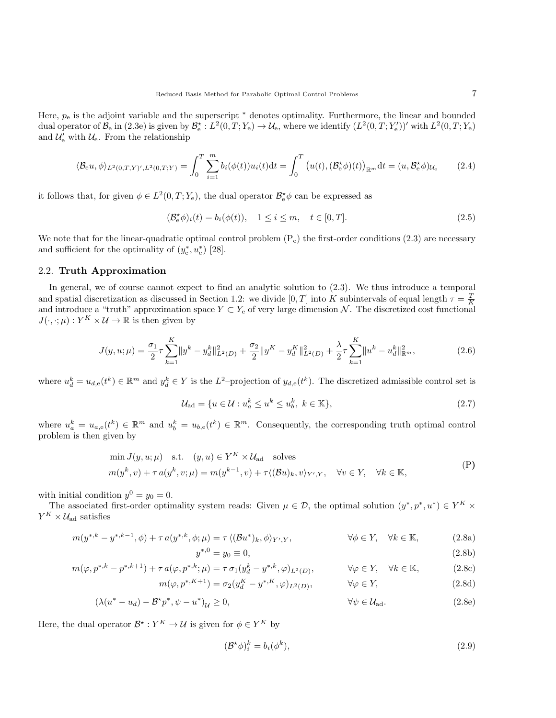Here,  $p_e$  is the adjoint variable and the superscript  $*$  denotes optimality. Furthermore, the linear and bounded dual operator of  $\mathcal{B}_e$  in (2.3e) is given by  $\mathcal{B}_e^* : L^2(0,T;Y_e) \to \mathcal{U}_e$ , where we identify  $(L^2(0,T;Y'_e))'$  with  $L^2(0,T;Y_e)$ and  $\mathcal{U}_{e}'$  with  $\mathcal{U}_{e}$ . From the relationship

$$
\langle \mathcal{B}_{\mathbf{e}} u, \phi \rangle_{L^2(0,T,Y)',L^2(0,T;Y)} = \int_0^T \sum_{i=1}^m b_i(\phi(t))u_i(t)dt = \int_0^T \left( u(t), (\mathcal{B}_{\mathbf{e}}^{\star}\phi)(t) \right)_{\mathbb{R}^m} dt = (u, \mathcal{B}_{\mathbf{e}}^{\star}\phi)_{\mathcal{U}_{\mathbf{e}}} \tag{2.4}
$$

it follows that, for given  $\phi \in L^2(0,T;Y_e)$ , the dual operator  $\mathcal{B}^{\star}_e \phi$  can be expressed as

$$
(\mathcal{B}_{e}^{\star}\phi)_{i}(t) = b_{i}(\phi(t)), \quad 1 \leq i \leq m, \quad t \in [0, T].
$$
\n
$$
(2.5)
$$

We note that for the linear-quadratic optimal control problem  $(P_e)$  the first-order conditions (2.3) are necessary and sufficient for the optimality of  $(y_e^*, u_e^*)$  [28].

#### 2.2. Truth Approximation

In general, we of course cannot expect to find an analytic solution to  $(2.3)$ . We thus introduce a temporal and spatial discretization as discussed in Section 1.2: we divide  $[0, T]$  into K subintervals of equal length  $\tau = \frac{T}{K}$ and introduce a "truth" approximation space  $Y \subset Y_e$  of very large dimension N. The discretized cost functional  $J(\cdot, \cdot; \mu): Y^K \times \mathcal{U} \to \mathbb{R}$  is then given by

$$
J(y, u; \mu) = \frac{\sigma_1}{2} \tau \sum_{k=1}^{K} \|y^k - y_d^k\|_{L^2(D)}^2 + \frac{\sigma_2}{2} \|y^K - y_d^K\|_{L^2(D)}^2 + \frac{\lambda}{2} \tau \sum_{k=1}^{K} \|u^k - u_d^k\|_{\mathbb{R}^m}^2,
$$
\n(2.6)

where  $u_d^k = u_{d,e}(t^k) \in \mathbb{R}^m$  and  $y_d^k \in Y$  is the  $L^2$ -projection of  $y_{d,e}(t^k)$ . The discretized admissible control set is

$$
\mathcal{U}_{\text{ad}} = \{ u \in \mathcal{U} : u_a^k \le u^k \le u_b^k, \ k \in \mathbb{K} \},\tag{2.7}
$$

where  $u_a^k = u_{a,e}(t^k) \in \mathbb{R}^m$  and  $u_b^k = u_{b,e}(t^k) \in \mathbb{R}^m$ . Consequently, the corresponding truth optimal control problem is then given by

$$
\min J(y, u; \mu) \quad \text{s.t.} \quad (y, u) \in Y^K \times \mathcal{U}_{ad} \quad \text{solves} \\
 m(y^k, v) + \tau a(y^k, v; \mu) = m(y^{k-1}, v) + \tau \langle (\mathcal{B}u)_k, v \rangle_{Y',Y}, \quad \forall v \in Y, \quad \forall k \in \mathbb{K},
$$
\n
$$
(P)
$$

with initial condition  $y^0 = y_0 = 0$ .

The associated first-order optimality system reads: Given  $\mu \in \mathcal{D}$ , the optimal solution  $(y^*, p^*, u^*) \in Y^K \times$  $Y^K \times \mathcal{U}_{\text{ad}}$  satisfies

$$
m(y^{*,k} - y^{*,k-1}, \phi) + \tau a(y^{*,k}, \phi; \mu) = \tau \langle (\mathcal{B}u^*)_k, \phi \rangle_{Y',Y}, \qquad \forall \phi \in Y, \quad \forall k \in \mathbb{K}, \tag{2.8a}
$$

$$
y^{*,0} = y_0 \equiv 0,\t(2.8b)
$$

$$
m(\varphi, p^{*,k} - p^{*,k+1}) + \tau a(\varphi, p^{*,k}; \mu) = \tau \sigma_1(y_a^k - y^{*,k}, \varphi)_{L^2(D)}, \qquad \forall \varphi \in Y, \quad \forall k \in \mathbb{K},
$$
\n
$$
m(\varphi, p^{*,K+1}) = \sigma_2(y_a^K - y^{*,K}, \varphi)_{L^2(D)}, \qquad \forall \varphi \in Y,
$$
\n(2.8c)

$$
(\lambda(u^* - u_d) - \mathcal{B}^{\star} p^*, \psi - u^*)_{\mathcal{U}} \ge 0, \qquad \forall \psi \in \mathcal{U}_{ad}.
$$
 (2.8e)

Here, the dual operator  $\mathcal{B}^* : Y^K \to \mathcal{U}$  is given for  $\phi \in Y^K$  by

$$
(\mathcal{B}^{\star}\phi)^k_i = b_i(\phi^k),\tag{2.9}
$$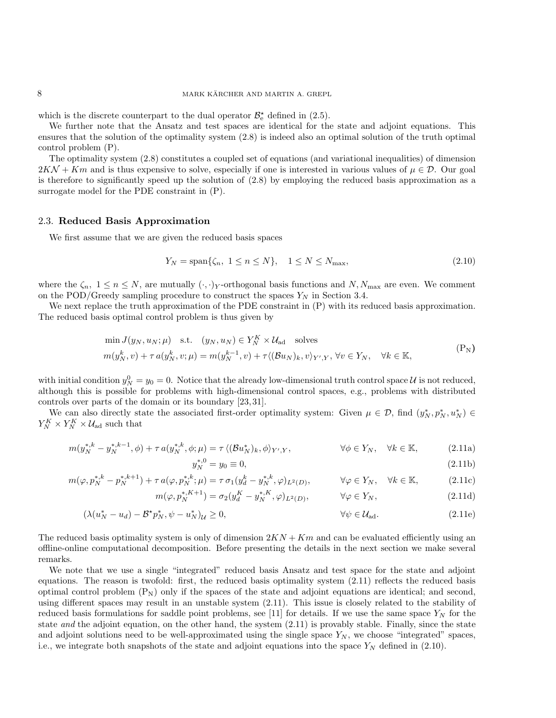#### 8 MARK KÄRCHER AND MARTIN A. GREPL

which is the discrete counterpart to the dual operator  $\mathcal{B}_{e}^{\star}$  defined in (2.5).

We further note that the Ansatz and test spaces are identical for the state and adjoint equations. This ensures that the solution of the optimality system (2.8) is indeed also an optimal solution of the truth optimal control problem (P).

The optimality system (2.8) constitutes a coupled set of equations (and variational inequalities) of dimension  $2KN + Km$  and is thus expensive to solve, especially if one is interested in various values of  $\mu \in \mathcal{D}$ . Our goal is therefore to significantly speed up the solution of (2.8) by employing the reduced basis approximation as a surrogate model for the PDE constraint in (P).

#### 2.3. Reduced Basis Approximation

We first assume that we are given the reduced basis spaces

$$
Y_N = \text{span}\{\zeta_n, 1 \le n \le N\}, \quad 1 \le N \le N_{\text{max}},\tag{2.10}
$$

where the  $\zeta_n$ ,  $1 \leq n \leq N$ , are mutually  $(\cdot, \cdot)_Y$ -orthogonal basis functions and N,  $N_{\text{max}}$  are even. We comment on the POD/Greedy sampling procedure to construct the spaces  $Y_N$  in Section 3.4.

We next replace the truth approximation of the PDE constraint in  $(P)$  with its reduced basis approximation. The reduced basis optimal control problem is thus given by

$$
\min J(y_N, u_N; \mu) \quad \text{s.t.} \quad (y_N, u_N) \in Y_N^K \times \mathcal{U}_{ad} \quad \text{solves}
$$
\n
$$
m(y_N^k, v) + \tau a(y_N^k, v; \mu) = m(y_N^{k-1}, v) + \tau \langle (\mathcal{B}u_N)_k, v \rangle_{Y',Y}, \forall v \in Y_N, \quad \forall k \in \mathbb{K},
$$
\n
$$
(P_N)
$$

with initial condition  $y_N^0 = y_0 = 0$ . Notice that the already low-dimensional truth control space U is not reduced, although this is possible for problems with high-dimensional control spaces, e.g., problems with distributed controls over parts of the domain or its boundary [23, 31].

We can also directly state the associated first-order optimality system: Given  $\mu \in \mathcal{D}$ , find  $(y_N^*, p_N^*, u_N^*) \in$  $Y_N^K \times Y_N^K \times \mathcal{U}_{\text{ad}}$  such that

$$
m(y_N^{*,k} - y_N^{*,k-1}, \phi) + \tau a(y_N^{*,k}, \phi; \mu) = \tau \langle (\mathcal{B}u_N^*)_k, \phi \rangle_{Y',Y}, \qquad \forall \phi \in Y_N, \quad \forall k \in \mathbb{K}, \tag{2.11a}
$$

$$
y_N^{*,0} = y_0 \equiv 0, \tag{2.11b}
$$

$$
{}_{N}^{*,0} = y_0 \equiv 0,\t\t(2.11b)
$$

$$
m(\varphi, p_N^{*,k} - p_N^{*,k+1}) + \tau a(\varphi, p_N^{*,k}; \mu) = \tau \sigma_1(y_d^k - y_N^{*,k}, \varphi)_{L^2(D)}, \qquad \forall \varphi \in Y_N, \quad \forall k \in \mathbb{K}, \tag{2.11c}
$$

$$
m(\varphi, p_N^{*,K+1}) = \sigma_2(y_d^K - y_N^{*,K}, \varphi)_{L^2(D)}, \qquad \forall \varphi \in Y_N,
$$
\n(2.11d)

$$
(\lambda (u_N^* - u_d) - \mathcal{B}^* p_N^*, \psi - u_N^*)_{\mathcal{U}} \ge 0, \qquad \forall \psi \in \mathcal{U}_{ad}.
$$
 (2.11e)

The reduced basis optimality system is only of dimension  $2KN + Km$  and can be evaluated efficiently using an offline-online computational decomposition. Before presenting the details in the next section we make several remarks.

We note that we use a single "integrated" reduced basis Ansatz and test space for the state and adjoint equations. The reason is twofold: first, the reduced basis optimality system (2.11) reflects the reduced basis optimal control problem  $(P_N)$  only if the spaces of the state and adjoint equations are identical; and second, using different spaces may result in an unstable system (2.11). This issue is closely related to the stability of reduced basis formulations for saddle point problems, see [11] for details. If we use the same space  $Y_N$  for the state and the adjoint equation, on the other hand, the system  $(2.11)$  is provably stable. Finally, since the state and adjoint solutions need to be well-approximated using the single space  $Y_N$ , we choose "integrated" spaces, i.e., we integrate both snapshots of the state and adjoint equations into the space  $Y_N$  defined in (2.10).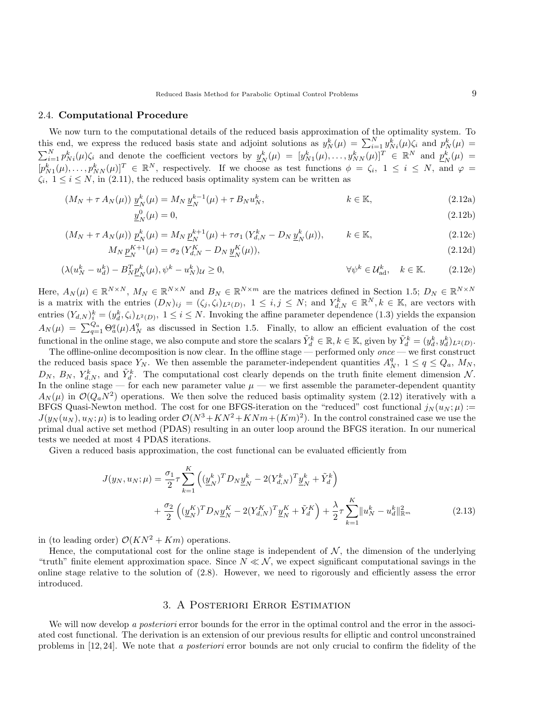#### 2.4. Computational Procedure

We now turn to the computational details of the reduced basis approximation of the optimality system. To this end, we express the reduced basis state and adjoint solutions as  $y_N^k(\mu) = \sum_{i=1}^N y_{Ni}^k(\mu) \zeta_i$  and  $p_N^k(\mu) =$  $\sum_{i=1}^{N} p_{Ni}^{k}(\mu)\zeta_i$  and denote the coefficient vectors by  $y_N^k$  $N_k^k(\mu) = [y_{N1}^k(\mu), \dots, y_{NN}^k(\mu)]^T \in \mathbb{R}^N$  and  $p_N^k$  $\binom{k}{N}(\mu) =$  $[p_{N1}^k(\mu),...,p_{NN}^k(\mu)]^T \in \mathbb{R}^N$ , respectively. If we choose as test functions  $\phi = \zeta_i$ ,  $1 \le i \le N$ , and  $\varphi =$  $\zeta_i, 1 \leq i \leq N$ , in (2.11), the reduced basis optimality system can be written as

$$
(M_N + \tau A_N(\mu)) \underline{y}_N^k(\mu) = M_N \underline{y}_N^{k-1}(\mu) + \tau B_N u_N^k, \qquad k \in \mathbb{K},
$$
\n(2.12a)

$$
\underline{y}_N^0(\mu) = 0,\tag{2.12b}
$$

$$
(M_N + \tau A_N(\mu)) \underline{p}_N^k(\mu) = M_N \underline{p}_N^{k+1}(\mu) + \tau \sigma_1 (Y_{d,N}^k - D_N \underline{y}_N^k(\mu)), \qquad k \in \mathbb{K},
$$
\n(2.12c)

$$
M_N \underline{p}_N^{K+1}(\mu) = \sigma_2 \left( Y_{d,N}^K - D_N \underline{y}_N^K(\mu) \right),\tag{2.12d}
$$

$$
(\lambda(u_N^k - u_d^k) - B_N^T \underline{p}_N^k(\mu), \psi^k - u_N^k)_{\mathcal{U}} \ge 0, \qquad \forall \psi^k \in \mathcal{U}_{ad}^k, \quad k \in \mathbb{K}. \tag{2.12e}
$$

Here,  $A_N(\mu) \in \mathbb{R}^{N \times N}$ ,  $M_N \in \mathbb{R}^{N \times N}$  and  $B_N \in \mathbb{R}^{N \times m}$  are the matrices defined in Section 1.5;  $D_N \in \mathbb{R}^{N \times N}$ is a matrix with the entries  $(D_N)_{ij} = (\zeta_j, \zeta_i)_{L^2(D)}, 1 \leq i, j \leq N;$  and  $Y^k_{d,N} \in \mathbb{R}^N, k \in \mathbb{K}$ , are vectors with entries  $(Y_{d,N})_i^k = (y_d^k, \zeta_i)_{L^2(D)}, 1 \le i \le N$ . Invoking the affine parameter dependence (1.3) yields the expansion  $A_N(\mu) = \sum_{q=1}^{Q_a} \Theta_a^q(\mu) A_N^q$  as discussed in Section 1.5. Finally, to allow an efficient evaluation of the cost functional in the online stage, we also compute and store the scalars  $\tilde{Y}_d^k \in \mathbb{R}$ ,  $k \in \mathbb{K}$ , given by  $\tilde{Y}_d^k = (y_d^k, y_d^k)_{L^2(D)}$ .

The offline-online decomposition is now clear. In the offline stage — performed only once — we first construct the reduced basis space  $Y_N$ . We then assemble the parameter-independent quantities  $A_N^q$ ,  $1 \le q \le Q_a$ ,  $M_N$ ,  $D_N$ ,  $B_N$ ,  $Y_{d,N}^k$ , and  $\tilde{Y}_d^k$ . The computational cost clearly depends on the truth finite element dimension N. In the online stage — for each new parameter value  $\mu$  — we first assemble the parameter-dependent quantity  $A_N(\mu)$  in  $\mathcal{O}(Q_a N^2)$  operations. We then solve the reduced basis optimality system (2.12) iteratively with a BFGS Quasi-Newton method. The cost for one BFGS-iteration on the "reduced" cost functional  $j_N(u_N;\mu)$ :=  $J(y_N(u_N), u_N; \mu)$  is to leading order  $\mathcal{O}(N^3 + KN^2 + KNm + (Km)^2)$ . In the control constrained case we use the primal dual active set method (PDAS) resulting in an outer loop around the BFGS iteration. In our numerical tests we needed at most 4 PDAS iterations.

Given a reduced basis approximation, the cost functional can be evaluated efficiently from

$$
J(y_N, u_N; \mu) = \frac{\sigma_1}{2} \tau \sum_{k=1}^K \left( (\underline{y}_N^k)^T D_N \underline{y}_N^k - 2(Y_{d,N}^k)^T \underline{y}_N^k + \tilde{Y}_d^k \right) + \frac{\sigma_2}{2} \left( (\underline{y}_N^K)^T D_N \underline{y}_N^K - 2(Y_{d,N}^K)^T \underline{y}_N^K + \tilde{Y}_d^K \right) + \frac{\lambda}{2} \tau \sum_{k=1}^K ||u_N^k - u_d^k||_{\mathbb{R}^m}^2
$$
(2.13)

in (to leading order)  $\mathcal{O}(KN^2 + Km)$  operations.

Hence, the computational cost for the online stage is independent of  $N$ , the dimension of the underlying "truth" finite element approximation space. Since  $N \ll N$ , we expect significant computational savings in the online stage relative to the solution of (2.8). However, we need to rigorously and efficiently assess the error introduced.

# 3. A Posteriori Error Estimation

We will now develop a *posteriori* error bounds for the error in the optimal control and the error in the associated cost functional. The derivation is an extension of our previous results for elliptic and control unconstrained problems in [12, 24]. We note that a posteriori error bounds are not only crucial to confirm the fidelity of the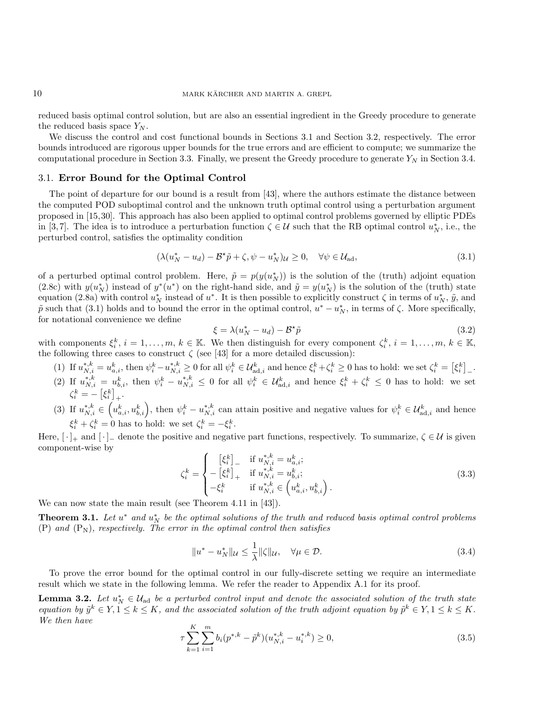reduced basis optimal control solution, but are also an essential ingredient in the Greedy procedure to generate the reduced basis space  $Y_N$ .

We discuss the control and cost functional bounds in Sections 3.1 and Section 3.2, respectively. The error bounds introduced are rigorous upper bounds for the true errors and are efficient to compute; we summarize the computational procedure in Section 3.3. Finally, we present the Greedy procedure to generate  $Y_N$  in Section 3.4.

# 3.1. Error Bound for the Optimal Control

The point of departure for our bound is a result from [43], where the authors estimate the distance between the computed POD suboptimal control and the unknown truth optimal control using a perturbation argument proposed in [15,30]. This approach has also been applied to optimal control problems governed by elliptic PDEs in [3,7]. The idea is to introduce a perturbation function  $\zeta \in \mathcal{U}$  such that the RB optimal control  $u_N^*$ , i.e., the perturbed control, satisfies the optimality condition

$$
(\lambda (u_N^* - u_d) - \mathcal{B}^* \tilde{p} + \zeta, \psi - u_N^*)_{\mathcal{U}} \ge 0, \quad \forall \psi \in \mathcal{U}_{ad}, \tag{3.1}
$$

of a perturbed optimal control problem. Here,  $\tilde{p} = p(y(u_N^*))$  is the solution of the (truth) adjoint equation (2.8c) with  $y(u_N^*)$  instead of  $y^*(u^*)$  on the right-hand side, and  $\tilde{y} = y(u_N^*)$  is the solution of the (truth) state equation (2.8a) with control  $u_N^*$  instead of  $u^*$ . It is then possible to explicitly construct  $\zeta$  in terms of  $u_N^*, \tilde{y}$ , and  $\tilde{p}$  such that (3.1) holds and to bound the error in the optimal control,  $u^* - u_N^*$ , in terms of  $\zeta$ . More specifically, for notational convenience we define

$$
\xi = \lambda (u_N^* - u_d) - \mathcal{B}^* \tilde{p} \tag{3.2}
$$

with components  $\xi_i^k$ ,  $i = 1, \ldots, m, k \in \mathbb{K}$ . We then distinguish for every component  $\zeta_i^k$ ,  $i = 1, \ldots, m, k \in \mathbb{K}$ , the following three cases to construct  $\zeta$  (see [43] for a more detailed discussion):

- (1) If  $u_{N,i}^{*,k} = u_{a,i}^k$ , then  $\psi_i^k u_{N,i}^{*,k} \ge 0$  for all  $\psi_i^k \in \mathcal{U}_{ad,i}^k$  and hence  $\xi_i^k + \zeta_i^k \ge 0$  has to hold: we set  $\zeta_i^k = \left[\xi_i^k\right]_+$ . (2) If  $u_{N,i}^{*,k} = u_{b,i}^k$ , then  $\psi_i^k - u_{N,i}^{*,k} \leq 0$  for all  $\psi_i^k \in \mathcal{U}_{\mathrm{ad},i}^k$  and hence  $\xi_i^k + \zeta_i^k \leq 0$  has to hold: we set  $\zeta_i^k = -\left[\xi_i^k\right]_+.$
- (3) If  $u_{N,i}^{*,k} \in (u_{a,i}^k, u_{b,i}^k)$ , then  $\psi_i^k u_{N,i}^{*,k}$  can attain positive and negative values for  $\psi_i^k \in \mathcal{U}_{ad,i}^k$  and hence  $\xi_i^k + \zeta_i^k = 0$  has to hold: we set  $\zeta_i^k = -\xi_i^k$ .

Here,  $[\cdot]_+$  and  $[\cdot]_-$  denote the positive and negative part functions, respectively. To summarize,  $\zeta \in \mathcal{U}$  is given component-wise by

$$
\zeta_i^k = \begin{cases}\n[\xi_i^k]_{-} & \text{if } u_{N,i}^{*,k} = u_{a,i}^k; \\
-[\xi_i^k]_{+} & \text{if } u_{N,i}^{*,k} = u_{b,i}^k; \\
-\xi_i^k & \text{if } u_{N,i}^{*,k} \in (u_{a,i}^k, u_{b,i}^k).\n\end{cases}
$$
\n(3.3)

We can now state the main result (see Theorem 4.11 in [43]).

**Theorem 3.1.** Let  $u^*$  and  $u_N^*$  be the optimal solutions of the truth and reduced basis optimal control problems (P) and  $(P_N)$ , respectively. The error in the optimal control then satisfies

$$
||u^* - u^*_{N}||_{\mathcal{U}} \le \frac{1}{\lambda} ||\zeta||_{\mathcal{U}}, \quad \forall \mu \in \mathcal{D}.
$$
\n(3.4)

To prove the error bound for the optimal control in our fully-discrete setting we require an intermediate result which we state in the following lemma. We refer the reader to Appendix A.1 for its proof.

**Lemma 3.2.** Let  $u_N^* \in \mathcal{U}_{ad}$  be a perturbed control input and denote the associated solution of the truth state equation by  $\tilde{y}^k \in Y, 1 \leq k \leq K$ , and the associated solution of the truth adjoint equation by  $\tilde{p}^k \in Y, 1 \leq k \leq K$ . We then have

$$
\tau \sum_{k=1}^{K} \sum_{i=1}^{m} b_i (p^{*,k} - \tilde{p}^k)(u_{N,i}^{*,k} - u_i^{*,k}) \ge 0,
$$
\n(3.5)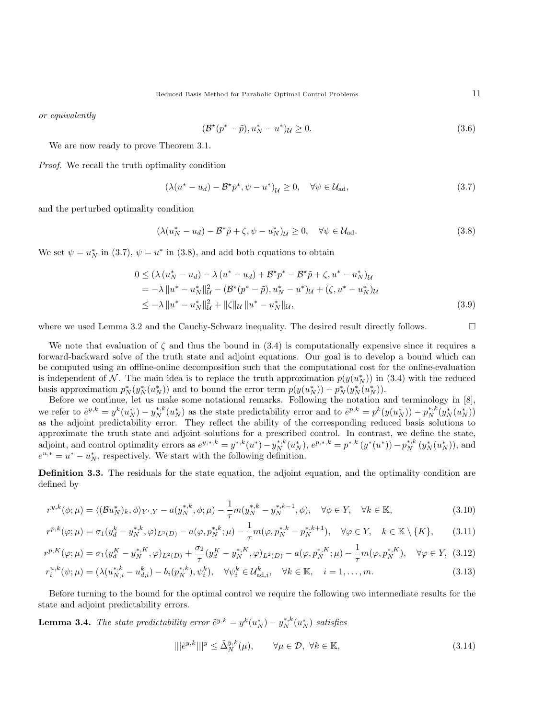or equivalently

$$
(\mathcal{B}^*(p^* - \tilde{p}), u_N^* - u^*)_{\mathcal{U}} \ge 0.
$$
\n(3.6)

We are now ready to prove Theorem 3.1.

Proof. We recall the truth optimality condition

$$
(\lambda(u^* - u_d) - \mathcal{B}^{\star} p^*, \psi - u^*)_{\mathcal{U}} \ge 0, \quad \forall \psi \in \mathcal{U}_{ad},
$$
\n
$$
(3.7)
$$

and the perturbed optimality condition

$$
(\lambda (u_N^* - u_d) - \mathcal{B}^* \tilde{p} + \zeta, \psi - u_N^*)_{\mathcal{U}} \ge 0, \quad \forall \psi \in \mathcal{U}_{ad}.
$$
 (3.8)

We set  $\psi = u_N^*$  in (3.7),  $\psi = u^*$  in (3.8), and add both equations to obtain

$$
0 \le (\lambda (u_N^* - u_d) - \lambda (u^* - u_d) + \mathcal{B}^* p^* - \mathcal{B}^* \tilde{p} + \zeta, u^* - u_N^*)_U = -\lambda \|u^* - u_N^*\|_U^2 - (\mathcal{B}^*(p^* - \tilde{p}), u_N^* - u^*)_U + (\zeta, u^* - u_N^*)_U \le -\lambda \|u^* - u_N^*\|_U^2 + \|\zeta\|_U \|u^* - u_N^*\|_U,
$$
\n(3.9)

where we used Lemma 3.2 and the Cauchy-Schwarz inequality. The desired result directly follows.  $\Box$ 

We note that evaluation of  $\zeta$  and thus the bound in (3.4) is computationally expensive since it requires a forward-backward solve of the truth state and adjoint equations. Our goal is to develop a bound which can be computed using an offline-online decomposition such that the computational cost for the online-evaluation is independent of N. The main idea is to replace the truth approximation  $p(y(u_N^*))$  in (3.4) with the reduced basis approximation  $p_N^*(y_N^*(u_N^*))$  and to bound the error term  $p(y(u_N^*)) - p_N^*(y_N^*(u_N^*))$ .

Before we continue, let us make some notational remarks. Following the notation and terminology in [8], we refer to  $\tilde{e}^{y,k} = y^k (u_N^*) - y_N^{*,k} (u_N^*)$  as the state predictability error and to  $\tilde{e}^{p,k} = p^k (y(u_N^*)) - p_N^{*,k} (y_N^*(u_N^*))$ as the adjoint predictability error. They reflect the ability of the corresponding reduced basis solutions to approximate the truth state and adjoint solutions for a prescribed control. In contrast, we define the state, adjoint, and control optimality errors as  $e^{y,*,k} = y^{*,k}(u^*) - y_N^{*,k}(u^*_N), e^{p,*,k} = p^{*,k}(y^*(u^*)) - p_N^{*,k}(y^*_N(u^*_N)),$  and  $e^{u,*} = u^* - u_N^*$ , respectively. We start with the following definition.

Definition 3.3. The residuals for the state equation, the adjoint equation, and the optimality condition are defined by

$$
r^{y,k}(\phi;\mu) = \langle (\mathcal{B}u_N^*)_k, \phi \rangle_{Y',Y} - a(y_N^{*,k}, \phi;\mu) - \frac{1}{\tau} m(y_N^{*,k} - y_N^{*,k-1}, \phi), \quad \forall \phi \in Y, \quad \forall k \in \mathbb{K},
$$
\n(3.10)

$$
r^{p,k}(\varphi;\mu) = \sigma_1(y_d^k - y_N^{*,k}, \varphi)_{L^2(D)} - a(\varphi, p_N^{*,k}; \mu) - \frac{1}{\tau}m(\varphi, p_N^{*,k} - p_N^{*,k+1}), \quad \forall \varphi \in Y, \quad k \in \mathbb{K} \setminus \{K\},\tag{3.11}
$$

$$
r^{p,K}(\varphi;\mu) = \sigma_1(y_d^K - y_N^{*,K}, \varphi)_{L^2(D)} + \frac{\sigma_2}{\tau}(y_d^K - y_N^{*,K}, \varphi)_{L^2(D)} - a(\varphi, p_N^{*,K}; \mu) - \frac{1}{\tau}m(\varphi, p_N^{*,K}), \quad \forall \varphi \in Y, \tag{3.12}
$$

$$
r_i^{u,k}(\psi;\mu) = (\lambda(u_{N,i}^{*,k} - u_{d,i}^k) - b_i(p_N^{*,k}), \psi_i^k), \quad \forall \psi_i^k \in \mathcal{U}_{\text{ad},i}^k, \quad \forall k \in \mathbb{K}, \quad i = 1, \dots, m. \tag{3.13}
$$

Before turning to the bound for the optimal control we require the following two intermediate results for the state and adjoint predictability errors.

**Lemma 3.4.** The state predictability error  $\tilde{e}^{y,k} = y^k(u_N^*) - y_N^{*,k}(u_N^*)$  satisfies

$$
|||\tilde{e}^{y,k}|||^y \le \tilde{\Delta}_N^{y,k}(\mu), \qquad \forall \mu \in \mathcal{D}, \ \forall k \in \mathbb{K}, \tag{3.14}
$$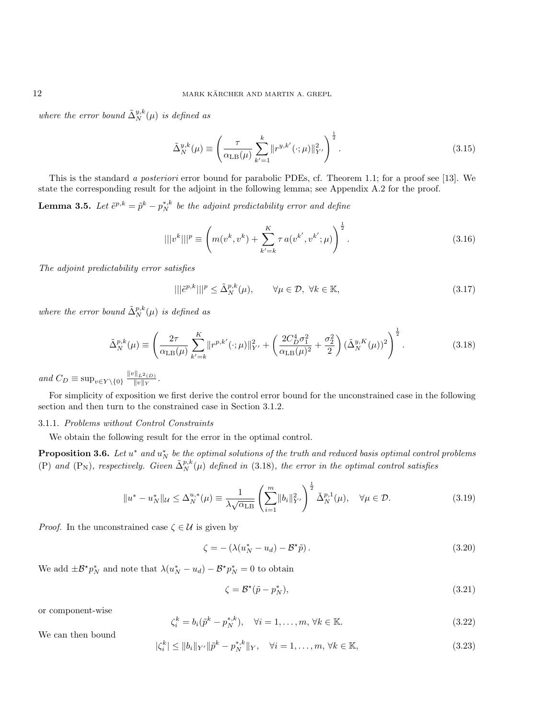where the error bound  $\tilde{\Delta}_N^{y,k}(\mu)$  is defined as

$$
\tilde{\Delta}_N^{y,k}(\mu) \equiv \left(\frac{\tau}{\alpha_{\text{LB}}(\mu)} \sum_{k'=1}^k \|r^{y,k'}(\cdot;\mu)\|_{Y'}^2\right)^{\frac{1}{2}}.
$$
\n(3.15)

This is the standard a posteriori error bound for parabolic PDEs, cf. Theorem 1.1; for a proof see [13]. We state the corresponding result for the adjoint in the following lemma; see Appendix A.2 for the proof.

**Lemma 3.5.** Let  $\tilde{e}^{p,k} = \tilde{p}^k - p_N^{*,k}$  be the adjoint predictability error and define

$$
|||v^k|||^p \equiv \left(m(v^k, v^k) + \sum_{k'=k}^K \tau a(v^{k'}, v^{k'}; \mu)\right)^{\frac{1}{2}}.
$$
\n(3.16)

The adjoint predictability error satisfies

$$
|||\tilde{e}^{p,k}|||^p \le \tilde{\Delta}_N^{p,k}(\mu), \qquad \forall \mu \in \mathcal{D}, \ \forall k \in \mathbb{K}, \tag{3.17}
$$

where the error bound  $\tilde{\Delta}_N^{p,k}(\mu)$  is defined as

$$
\tilde{\Delta}_N^{p,k}(\mu) \equiv \left(\frac{2\tau}{\alpha_{\text{LB}}(\mu)} \sum_{k'=k}^K \|r^{p,k'}(\cdot;\mu)\|_{Y'}^2 + \left(\frac{2C_D^4 \sigma_1^2}{\alpha_{\text{LB}}(\mu)^2} + \frac{\sigma_2^2}{2}\right) (\tilde{\Delta}_N^{y,K}(\mu))^2\right)^{\frac{1}{2}}.
$$
\n(3.18)

and  $C_D \equiv \sup_{v \in Y \setminus \{0\}} \frac{\|v\|_{L^2(D)}}{\|v\|_{Y}}$  $\frac{\|L^2(D)}{\|v\|_Y}$ .

For simplicity of exposition we first derive the control error bound for the unconstrained case in the following section and then turn to the constrained case in Section 3.1.2.

# 3.1.1. Problems without Control Constraints

We obtain the following result for the error in the optimal control.

**Proposition 3.6.** Let  $u^*$  and  $u_N^*$  be the optimal solutions of the truth and reduced basis optimal control problems (P) and (P<sub>N</sub>), respectively. Given  $\tilde{\Delta}_{N}^{p,k}(\mu)$  defined in (3.18), the error in the optimal control satisfies

$$
||u^* - u^*_{N}||_{\mathcal{U}} \le \Delta_N^{u,*}(\mu) \equiv \frac{1}{\lambda \sqrt{\alpha_{\text{LB}}}} \left( \sum_{i=1}^m ||b_i||_{Y'}^2 \right)^{\frac{1}{2}} \tilde{\Delta}_N^{p,1}(\mu), \quad \forall \mu \in \mathcal{D}.
$$
 (3.19)

*Proof.* In the unconstrained case  $\zeta \in \mathcal{U}$  is given by

$$
\zeta = -\left(\lambda (u_N^* - u_d) - \mathcal{B}^*\tilde{p}\right). \tag{3.20}
$$

We add  $\pm \mathcal{B}^{\star} p_N^*$  and note that  $\lambda (u_N^* - u_d) - \mathcal{B}^{\star} p_N^* = 0$  to obtain

$$
\zeta = \mathcal{B}^{\star}(\tilde{p} - p_N^*),\tag{3.21}
$$

or component-wise

$$
\zeta_i^k = b_i(\tilde{p}^k - p_N^{*,k}), \quad \forall i = 1, \dots, m, \forall k \in \mathbb{K}.
$$
\n(3.22)

We can then bound

$$
|\zeta_i^k| \le ||b_i||_{Y'} \|\tilde{p}^k - p_N^{*,k}\|_Y, \quad \forall i = 1, \dots, m, \forall k \in \mathbb{K},
$$
\n(3.23)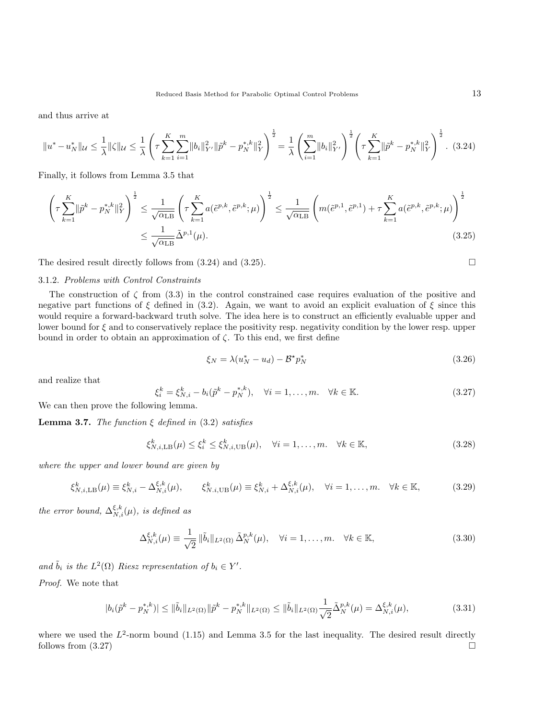and thus arrive at

$$
||u^* - u^*_{N}||_{\mathcal{U}} \le \frac{1}{\lambda} ||\zeta||_{\mathcal{U}} \le \frac{1}{\lambda} \left( \tau \sum_{k=1}^{K} \sum_{i=1}^{m} ||b_i||_{Y'}^2 ||\tilde{p}^k - p^*_{N}||_Y^2 \right)^{\frac{1}{2}} = \frac{1}{\lambda} \left( \sum_{i=1}^{m} ||b_i||_{Y'}^2 \right)^{\frac{1}{2}} \left( \tau \sum_{k=1}^{K} ||\tilde{p}^k - p^*_{N}||_Y^2 \right)^{\frac{1}{2}}.
$$
 (3.24)

Finally, it follows from Lemma 3.5 that

$$
\left(\tau \sum_{k=1}^{K} \|\tilde{p}^{k} - p_{N}^{*,k}\|_{Y}^{2}\right)^{\frac{1}{2}} \leq \frac{1}{\sqrt{\alpha_{\text{LB}}}} \left(\tau \sum_{k=1}^{K} a(\tilde{e}^{p,k}, \tilde{e}^{p,k}; \mu)\right)^{\frac{1}{2}} \leq \frac{1}{\sqrt{\alpha_{\text{LB}}}} \left(m(\tilde{e}^{p,1}, \tilde{e}^{p,1}) + \tau \sum_{k=1}^{K} a(\tilde{e}^{p,k}, \tilde{e}^{p,k}; \mu)\right)^{\frac{1}{2}} \leq \frac{1}{\sqrt{\alpha_{\text{LB}}}} \tilde{\Delta}^{p,1}(\mu). \tag{3.25}
$$

The desired result directly follows from  $(3.24)$  and  $(3.25)$ .

#### 3.1.2. Problems with Control Constraints

The construction of  $\zeta$  from (3.3) in the control constrained case requires evaluation of the positive and negative part functions of  $\xi$  defined in (3.2). Again, we want to avoid an explicit evaluation of  $\xi$  since this would require a forward-backward truth solve. The idea here is to construct an efficiently evaluable upper and lower bound for ξ and to conservatively replace the positivity resp. negativity condition by the lower resp. upper bound in order to obtain an approximation of  $\zeta$ . To this end, we first define

$$
\xi_N = \lambda (u_N^* - u_d) - \mathcal{B}^* p_N^* \tag{3.26}
$$

and realize that

$$
\xi_i^k = \xi_{N,i}^k - b_i(\tilde{p}^k - p_N^{*,k}), \quad \forall i = 1, ..., m. \quad \forall k \in \mathbb{K}.
$$
 (3.27)

We can then prove the following lemma.

**Lemma 3.7.** The function  $\xi$  defined in (3.2) satisfies

$$
\xi_{N,i,\text{LB}}^k(\mu) \le \xi_i^k \le \xi_{N,i,\text{UB}}^k(\mu), \quad \forall i = 1,\dots,m. \quad \forall k \in \mathbb{K},\tag{3.28}
$$

where the upper and lower bound are given by

$$
\xi_{N,i,\text{LB}}^k(\mu) \equiv \xi_{N,i}^k - \Delta_{N,i}^{\xi,k}(\mu), \qquad \xi_{N,i,\text{UB}}^k(\mu) \equiv \xi_{N,i}^k + \Delta_{N,i}^{\xi,k}(\mu), \quad \forall i = 1,\dots,m. \quad \forall k \in \mathbb{K},\tag{3.29}
$$

the error bound,  $\Delta_{N,i}^{\xi,k}(\mu)$ , is defined as

$$
\Delta_{N,i}^{\xi,k}(\mu) \equiv \frac{1}{\sqrt{2}} \|\tilde{b}_i\|_{L^2(\Omega)} \,\tilde{\Delta}_N^{p,k}(\mu), \quad \forall i = 1, \dots, m. \quad \forall k \in \mathbb{K},
$$
\n(3.30)

and  $\tilde{b}_i$  is the  $L^2(\Omega)$  Riesz representation of  $b_i \in Y'$ .

Proof. We note that

$$
|b_i(\tilde{p}^k - p_N^{*,k})| \le ||\tilde{b}_i||_{L^2(\Omega)} ||\tilde{p}^k - p_N^{*,k}||_{L^2(\Omega)} \le ||\tilde{b}_i||_{L^2(\Omega)} \frac{1}{\sqrt{2}} \tilde{\Delta}_N^{p,k}(\mu) = \Delta_{N,i}^{\xi,k}(\mu),\tag{3.31}
$$

where we used the  $L^2$ -norm bound (1.15) and Lemma 3.5 for the last inequality. The desired result directly follows from  $(3.27)$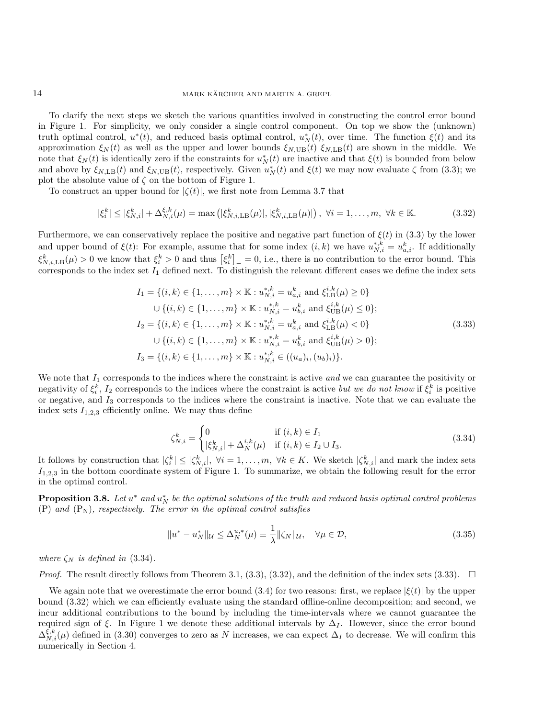To clarify the next steps we sketch the various quantities involved in constructing the control error bound in Figure 1. For simplicity, we only consider a single control component. On top we show the (unknown) truth optimal control,  $u^*(t)$ , and reduced basis optimal control,  $u^*_N(t)$ , over time. The function  $\xi(t)$  and its approximation  $\xi_N(t)$  as well as the upper and lower bounds  $\xi_{N,\text{UB}}(t)$   $\xi_{N,\text{LB}}(t)$  are shown in the middle. We note that  $\xi_N(t)$  is identically zero if the constraints for  $u_N^*(t)$  are inactive and that  $\xi(t)$  is bounded from below and above by  $\xi_{N,\text{LB}}(t)$  and  $\xi_{N,\text{UB}}(t)$ , respectively. Given  $u_N^*(t)$  and  $\xi(t)$  we may now evaluate  $\zeta$  from (3.3); we plot the absolute value of  $\zeta$  on the bottom of Figure 1.

To construct an upper bound for  $|\zeta(t)|$ , we first note from Lemma 3.7 that

$$
|\xi_i^k| \le |\xi_{N,i}^k| + \Delta_{N,i}^{\xi,k}(\mu) = \max\left(|\xi_{N,i, \text{LB}}^k(\mu)|, |\xi_{N,i, \text{LB}}^k(\mu)|\right), \ \forall i = 1, \dots, m, \ \forall k \in \mathbb{K}.\tag{3.32}
$$

Furthermore, we can conservatively replace the positive and negative part function of  $\xi(t)$  in (3.3) by the lower and upper bound of  $\xi(t)$ : For example, assume that for some index  $(i, k)$  we have  $u_{N,i}^{*,k} = u_{a,i}^k$ . If additionally  $\xi_{N,i, \text{LB}}^k(\mu) > 0$  we know that  $\xi_i^k > 0$  and thus  $\left[\xi_i^k\right]_0 = 0$ , i.e., there is no contribution to the error bound. This corresponds to the index set  $I_1$  defined next. To distinguish the relevant different cases we define the index sets

$$
I_{1} = \{(i,k) \in \{1,\ldots,m\} \times \mathbb{K} : u_{N,i}^{*,k} = u_{a,i}^{k} \text{ and } \xi_{\text{LB}}^{i,k}(\mu) \ge 0\}
$$
  

$$
\cup \{(i,k) \in \{1,\ldots,m\} \times \mathbb{K} : u_{N,i}^{*,k} = u_{b,i}^{k} \text{ and } \xi_{\text{UB}}^{i,k}(\mu) \le 0\};
$$
  

$$
I_{2} = \{(i,k) \in \{1,\ldots,m\} \times \mathbb{K} : u_{N,i}^{*,k} = u_{a,i}^{k} \text{ and } \xi_{\text{LB}}^{i,k}(\mu) < 0\}
$$
  

$$
\cup \{(i,k) \in \{1,\ldots,m\} \times \mathbb{K} : u_{N,i}^{*,k} = u_{b,i}^{k} \text{ and } \xi_{\text{LB}}^{i,k}(\mu) > 0\};
$$
  

$$
I_{3} = \{(i,k) \in \{1,\ldots,m\} \times \mathbb{K} : u_{N,i}^{*,k} \in ((u_{a})_{i}, (u_{b})_{i})\}.
$$
  
(3.33)

We note that  $I_1$  corresponds to the indices where the constraint is active and we can guarantee the positivity or negativity of  $\xi_i^k$ ,  $I_2$  corresponds to the indices where the constraint is active but we do not know if  $\xi_i^k$  is positive or negative, and  $I_3$  corresponds to the indices where the constraint is inactive. Note that we can evaluate the index sets  $I_{1,2,3}$  efficiently online. We may thus define

$$
\zeta_{N,i}^{k} = \begin{cases}\n0 & \text{if } (i,k) \in I_1 \\
|\xi_{N,i}^{k}| + \Delta_N^{i,k}(\mu) & \text{if } (i,k) \in I_2 \cup I_3.\n\end{cases}
$$
\n(3.34)

It follows by construction that  $|\zeta_i^k| \leq |\zeta_{N,i}^k|$ ,  $\forall i = 1, \ldots, m$ ,  $\forall k \in K$ . We sketch  $|\zeta_{N,i}^k|$  and mark the index sets  $I_{1,2,3}$  in the bottom coordinate system of Figure 1. To summarize, we obtain the following result for the error in the optimal control.

**Proposition 3.8.** Let  $u^*$  and  $u^*_{N}$  be the optimal solutions of the truth and reduced basis optimal control problems  $(P)$  and  $(P_N)$ , respectively. The error in the optimal control satisfies

$$
||u^* - u^*_{N}||_{\mathcal{U}} \le \Delta_N^{u,*}(\mu) \equiv \frac{1}{\lambda} ||\zeta_N||_{\mathcal{U}}, \quad \forall \mu \in \mathcal{D},
$$
\n(3.35)

where  $\zeta_N$  is defined in (3.34).

*Proof.* The result directly follows from Theorem 3.1, (3.3), (3.32), and the definition of the index sets (3.33).  $\Box$ 

We again note that we overestimate the error bound (3.4) for two reasons: first, we replace  $|\xi(t)|$  by the upper bound (3.32) which we can efficiently evaluate using the standard offline-online decomposition; and second, we incur additional contributions to the bound by including the time-intervals where we cannot guarantee the required sign of  $\xi$ . In Figure 1 we denote these additional intervals by  $\Delta_I$ . However, since the error bound  $\Delta_{N,i}^{\xi,k}(\mu)$  defined in (3.30) converges to zero as N increases, we can expect  $\Delta_I$  to decrease. We will confirm this numerically in Section 4.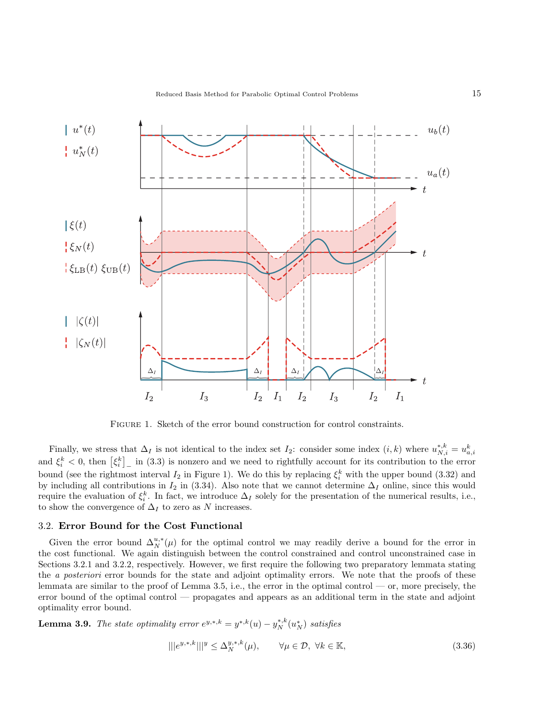

Figure 1. Sketch of the error bound construction for control constraints.

Finally, we stress that  $\Delta_I$  is not identical to the index set  $I_2$ : consider some index  $(i, k)$  where  $u_{N,i}^{*,k} = u_{a,i}^k$ and  $\xi_i^k < 0$ , then  $\left[\xi_i^k\right]$  in (3.3) is nonzero and we need to rightfully account for its contribution to the error bound (see the rightmost interval  $I_2$  in Figure 1). We do this by replacing  $\xi_i^k$  with the upper bound (3.32) and by including all contributions in  $I_2$  in (3.34). Also note that we cannot determine  $\Delta_I$  online, since this would require the evaluation of  $\xi_i^k$ . In fact, we introduce  $\Delta_I$  solely for the presentation of the numerical results, i.e., to show the convergence of  $\Delta_I$  to zero as N increases.

#### 3.2. Error Bound for the Cost Functional

Given the error bound  $\Delta_N^{u,*}(\mu)$  for the optimal control we may readily derive a bound for the error in the cost functional. We again distinguish between the control constrained and control unconstrained case in Sections 3.2.1 and 3.2.2, respectively. However, we first require the following two preparatory lemmata stating the *a posteriori* error bounds for the state and adjoint optimality errors. We note that the proofs of these lemmata are similar to the proof of Lemma 3.5, i.e., the error in the optimal control — or, more precisely, the error bound of the optimal control — propagates and appears as an additional term in the state and adjoint optimality error bound.

**Lemma 3.9.** The state optimality error  $e^{y,*,k} = y^{*,k}(u) - y_N^{*,k}(u_N^*)$  satisfies

$$
|||e^{y,*,k}|||^{y} \le \Delta_N^{y,*,k}(\mu), \qquad \forall \mu \in \mathcal{D}, \ \forall k \in \mathbb{K}, \tag{3.36}
$$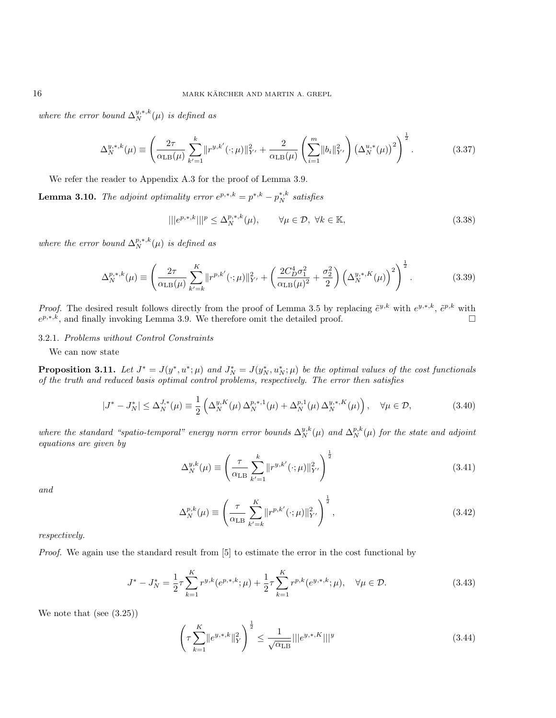where the error bound  $\Delta_N^{y,*,k}(\mu)$  is defined as

$$
\Delta_N^{y,*,k}(\mu) \equiv \left(\frac{2\tau}{\alpha_{\text{LB}}(\mu)} \sum_{k'=1}^k \|r^{y,k'}(\cdot;\mu)\|_{Y'}^2 + \frac{2}{\alpha_{\text{LB}}(\mu)} \left(\sum_{i=1}^m \|b_i\|_{Y'}^2\right) \left(\Delta_N^{u,*}(\mu)\right)^2\right)^{\frac{1}{2}}.\tag{3.37}
$$

We refer the reader to Appendix A.3 for the proof of Lemma 3.9.

**Lemma 3.10.** The adjoint optimality error  $e^{p,*,k} = p^{*,k} - p_N^{*,k}$  satisfies

$$
|||e^{p,*,k}|||^{p} \leq \Delta_N^{p,*,k}(\mu), \qquad \forall \mu \in \mathcal{D}, \ \forall k \in \mathbb{K}, \tag{3.38}
$$

where the error bound  $\Delta_N^{p,*,k}(\mu)$  is defined as

$$
\Delta_N^{p,*,k}(\mu) \equiv \left(\frac{2\tau}{\alpha_{\text{LB}}(\mu)} \sum_{k'=k}^K ||r^{p,k'}(\cdot;\mu)||_{Y'}^2 + \left(\frac{2C_D^4 \sigma_1^2}{\alpha_{\text{LB}}(\mu)^2} + \frac{\sigma_2^2}{2}\right) \left(\Delta_N^{y,*,K}(\mu)\right)^2\right)^{\frac{1}{2}}.\tag{3.39}
$$

*Proof.* The desired result follows directly from the proof of Lemma 3.5 by replacing  $\tilde{e}^{y,k}$  with  $e^{y,*,k}$ ,  $\tilde{e}^{p,k}$  with  $e^{p,*,\vec{k}}$ , and finally invoking Lemma 3.9. We therefore omit the detailed proof.

# 3.2.1. Problems without Control Constraints

We can now state

**Proposition 3.11.** Let  $J^* = J(y^*, u^*; \mu)$  and  $J_N^* = J(y_N^*, u_N^*; \mu)$  be the optimal values of the cost functionals of the truth and reduced basis optimal control problems, respectively. The error then satisfies

$$
|J^* - J_N^*| \le \Delta_N^{J,*}(\mu) \equiv \frac{1}{2} \left( \Delta_N^{y,K}(\mu) \, \Delta_N^{p,*,1}(\mu) + \Delta_N^{p,1}(\mu) \, \Delta_N^{y,*,K}(\mu) \right), \quad \forall \mu \in \mathcal{D}, \tag{3.40}
$$

where the standard "spatio-temporal" energy norm error bounds  $\Delta_N^{y,k}(\mu)$  and  $\Delta_N^{p,k}(\mu)$  for the state and adjoint equations are given by

$$
\Delta_N^{y,k}(\mu) \equiv \left(\frac{\tau}{\alpha_{\text{LB}}}\sum_{k'=1}^k \|r^{y,k'}(\cdot;\mu)\|_{Y'}^2\right)^{\frac{1}{2}}
$$
(3.41)

and

$$
\Delta_N^{p,k}(\mu) \equiv \left(\frac{\tau}{\alpha_{\text{LB}}} \sum_{k'=k}^K ||r^{p,k'}(\cdot;\mu)||_{Y'}^2\right)^{\frac{1}{2}},\tag{3.42}
$$

respectively.

Proof. We again use the standard result from [5] to estimate the error in the cost functional by

$$
J^* - J_N^* = \frac{1}{2}\tau \sum_{k=1}^K r^{y,k}(e^{p,*,k}; \mu) + \frac{1}{2}\tau \sum_{k=1}^K r^{p,k}(e^{y,*,k}; \mu), \quad \forall \mu \in \mathcal{D}.
$$
 (3.43)

We note that (see (3.25))

$$
\left(\tau \sum_{k=1}^{K} ||e^{y,*,k}||_Y^2\right)^{\frac{1}{2}} \le \frac{1}{\sqrt{\alpha_{\text{LB}}}} |||e^{y,*,K}|||^y \tag{3.44}
$$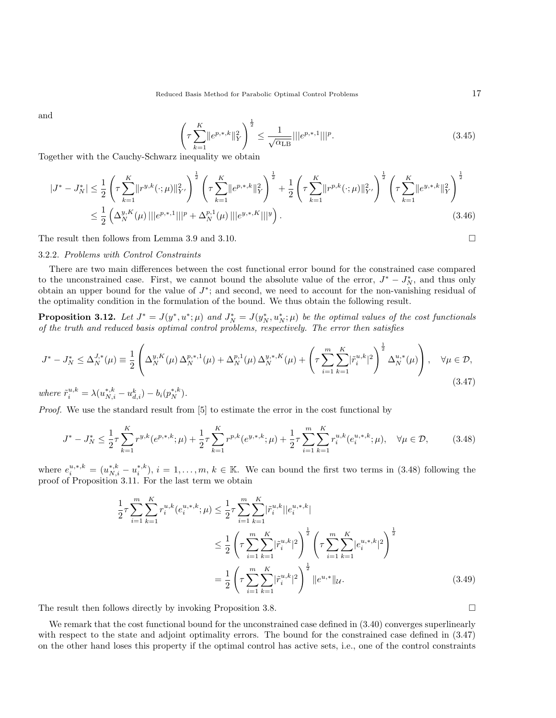and

$$
\left(\tau \sum_{k=1}^{K} \left\| e^{p,*,k} \right\|_{Y}^{2} \right)^{\frac{1}{2}} \leq \frac{1}{\sqrt{\alpha_{\text{LB}}}} \|\left\| e^{p,*,1} \right\| \|^p. \tag{3.45}
$$

Together with the Cauchy-Schwarz inequality we obtain

$$
|J^* - J_N^*| \leq \frac{1}{2} \left( \tau \sum_{k=1}^K ||r^{y,k}(\cdot;\mu)||_{Y'}^2 \right)^{\frac{1}{2}} \left( \tau \sum_{k=1}^K ||e^{p,*,k}||_Y^2 \right)^{\frac{1}{2}} + \frac{1}{2} \left( \tau \sum_{k=1}^K ||r^{p,k}(\cdot;\mu)||_{Y'}^2 \right)^{\frac{1}{2}} \left( \tau \sum_{k=1}^K ||e^{y,*,k}||_Y^2 \right)^{\frac{1}{2}} \leq \frac{1}{2} \left( \Delta_N^{y,K}(\mu) \, |||e^{p,*,1}|||^p + \Delta_N^{p,1}(\mu) \, |||e^{y,*,K}|||^y \right).
$$
\n(3.46)

The result then follows from Lemma 3.9 and 3.10.

#### 3.2.2. Problems with Control Constraints

There are two main differences between the cost functional error bound for the constrained case compared to the unconstrained case. First, we cannot bound the absolute value of the error,  $J^* - J_N^*$ , and thus only obtain an upper bound for the value of  $J^*$ ; and second, we need to account for the non-vanishing residual of the optimality condition in the formulation of the bound. We thus obtain the following result.

**Proposition 3.12.** Let  $J^* = J(y^*, u^*; \mu)$  and  $J_N^* = J(y_N^*, u_N^*; \mu)$  be the optimal values of the cost functionals of the truth and reduced basis optimal control problems, respectively. The error then satisfies

$$
J^* - J_N^* \le \Delta_N^{J,*}(\mu) \equiv \frac{1}{2} \left( \Delta_N^{y,K}(\mu) \Delta_N^{p,*,1}(\mu) + \Delta_N^{p,1}(\mu) \Delta_N^{y,*,K}(\mu) + \left( \tau \sum_{i=1}^m \sum_{k=1}^K |\tilde{r}_i^{u,k}|^2 \right)^{\frac{1}{2}} \Delta_N^{u,*}(\mu) \right), \quad \forall \mu \in \mathcal{D},
$$
\n(3.47)

where  $\tilde{r}_i^{u,k} = \lambda (u_{N,i}^{*,k} - u_{d,i}^k) - b_i(p_N^{*,k}).$ 

Proof. We use the standard result from [5] to estimate the error in the cost functional by

$$
J^* - J_N^* \le \frac{1}{2}\tau \sum_{k=1}^K r^{y,k}(e^{p,*,k};\mu) + \frac{1}{2}\tau \sum_{k=1}^K r^{p,k}(e^{y,*,k};\mu) + \frac{1}{2}\tau \sum_{i=1}^m \sum_{k=1}^K r_i^{u,k}(e_i^{u,*,k};\mu), \quad \forall \mu \in \mathcal{D},\tag{3.48}
$$

where  $e_i^{u,*,k} = (u_{N,i}^{*,k} - u_i^{*,k}), i = 1,\ldots,m, k \in \mathbb{K}$ . We can bound the first two terms in (3.48) following the proof of Proposition 3.11. For the last term we obtain

$$
\frac{1}{2}\tau \sum_{i=1}^{m} \sum_{k=1}^{K} r_i^{u,k}(e_i^{u,*,k}; \mu) \leq \frac{1}{2}\tau \sum_{i=1}^{m} \sum_{k=1}^{K} |\tilde{r}_i^{u,k}||e_i^{u,*,k}|
$$
\n
$$
\leq \frac{1}{2} \left(\tau \sum_{i=1}^{m} \sum_{k=1}^{K} |\tilde{r}_i^{u,k}|^2\right)^{\frac{1}{2}} \left(\tau \sum_{i=1}^{m} \sum_{k=1}^{K} |e_i^{u,*,k}|^2\right)^{\frac{1}{2}}
$$
\n
$$
= \frac{1}{2} \left(\tau \sum_{i=1}^{m} \sum_{k=1}^{K} |\tilde{r}_i^{u,k}|^2\right)^{\frac{1}{2}} ||e^{u,*}||_{\mathcal{U}}.
$$
\n(3.49)

The result then follows directly by invoking Proposition 3.8.

We remark that the cost functional bound for the unconstrained case defined in  $(3.40)$  converges superlinearly with respect to the state and adjoint optimality errors. The bound for the constrained case defined in  $(3.47)$ on the other hand loses this property if the optimal control has active sets, i.e., one of the control constraints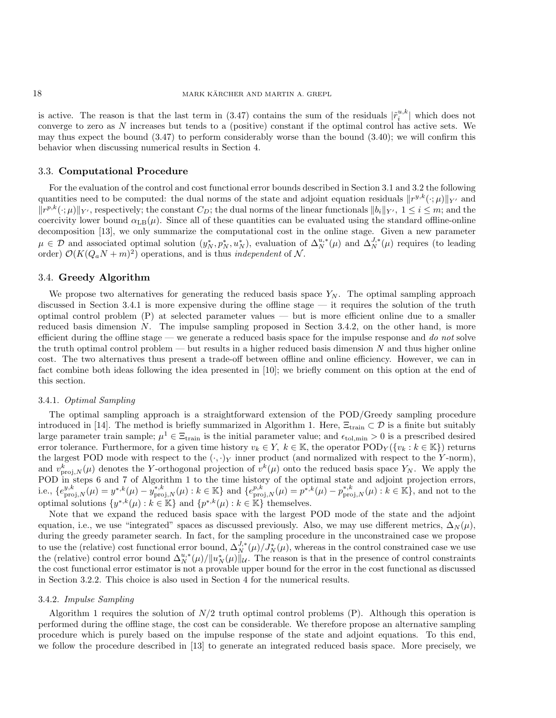is active. The reason is that the last term in (3.47) contains the sum of the residuals  $|\tilde{r}_i^{u,k}|$  which does not converge to zero as N increases but tends to a (positive) constant if the optimal control has active sets. We may thus expect the bound (3.47) to perform considerably worse than the bound (3.40); we will confirm this behavior when discussing numerical results in Section 4.

#### 3.3. Computational Procedure

For the evaluation of the control and cost functional error bounds described in Section 3.1 and 3.2 the following quantities need to be computed: the dual norms of the state and adjoint equation residuals  $\|r^{y,k}(\cdot;\mu)\|_{Y'}$  and  $||r^{p,k}(\cdot;\mu)||_{Y'},$  respectively; the constant  $C_D$ ; the dual norms of the linear functionals  $||b_i||_{Y'}, 1 \le i \le m$ ; and the coercivity lower bound  $\alpha_{\text{LB}}(\mu)$ . Since all of these quantities can be evaluated using the standard offline-online decomposition [13], we only summarize the computational cost in the online stage. Given a new parameter  $\mu \in \mathcal{D}$  and associated optimal solution  $(y_N^*, p_N^*, u_N^*)$ , evaluation of  $\Delta_N^{u,*}(\mu)$  and  $\Delta_N^{J,*}(\mu)$  requires (to leading order)  $\mathcal{O}(K(Q_a N + m)^2)$  operations, and is thus *independent* of N.

#### 3.4. Greedy Algorithm

We propose two alternatives for generating the reduced basis space  $Y_N$ . The optimal sampling approach discussed in Section 3.4.1 is more expensive during the offline stage — it requires the solution of the truth optimal control problem (P) at selected parameter values — but is more efficient online due to a smaller reduced basis dimension N. The impulse sampling proposed in Section 3.4.2, on the other hand, is more efficient during the offline stage — we generate a reduced basis space for the impulse response and do not solve the truth optimal control problem — but results in a higher reduced basis dimension  $N$  and thus higher online cost. The two alternatives thus present a trade-off between offline and online efficiency. However, we can in fact combine both ideas following the idea presented in [10]; we briefly comment on this option at the end of this section.

#### 3.4.1. Optimal Sampling

The optimal sampling approach is a straightforward extension of the POD/Greedy sampling procedure introduced in [14]. The method is briefly summarized in Algorithm 1. Here,  $\Xi_{\text{train}} \subset \mathcal{D}$  is a finite but suitably large parameter train sample;  $\mu^1 \in \Xi_{\text{train}}$  is the initial parameter value; and  $\epsilon_{\text{tol,min}} > 0$  is a prescribed desired error tolerance. Furthermore, for a given time history  $v_k \in Y$ ,  $k \in \mathbb{K}$ , the operator  $\text{POD}_Y(\{v_k : k \in \mathbb{K}\})$  returns the largest POD mode with respect to the  $(\cdot, \cdot)_Y$  inner product (and normalized with respect to the Y-norm), and  $v_{\text{proj},N}^k(\mu)$  denotes the Y-orthogonal projection of  $v^k(\mu)$  onto the reduced basis space  $Y_N$ . We apply the POD in steps 6 and 7 of Algorithm 1 to the time history of the optimal state and adjoint projection errors, i.e.,  ${e^{y,k}_{\text{proj},N}(\mu) = y^{*,k}(\mu) - y^{*,k}_{\text{proj},N}(\mu) : k \in \mathbb{K}}$  and  ${e^{p,k}_{\text{proj},N}(\mu) = p^{*,k}(\mu) - p^{*,k}_{\text{proj},N}(\mu) : k \in \mathbb{K}}$ , and not to the optimal solutions  $\{y^{*,k}(\mu):k\in\mathbb{K}\}\$  and  $\{p^{*,k}(\mu):k\in\mathbb{K}\}\$  themselves.

Note that we expand the reduced basis space with the largest POD mode of the state and the adjoint equation, i.e., we use "integrated" spaces as discussed previously. Also, we may use different metrics,  $\Delta_N(\mu)$ , during the greedy parameter search. In fact, for the sampling procedure in the unconstrained case we propose to use the (relative) cost functional error bound,  $\Delta_N^{J,*}(\mu)/J_N^*(\mu)$ , whereas in the control constrained case we use the (relative) control error bound  $\Delta_N^{u,*}(\mu)/||u_N^*(\mu)||_{\mathcal{U}}$ . The reason is that in the presence of control constraints the cost functional error estimator is not a provable upper bound for the error in the cost functional as discussed in Section 3.2.2. This choice is also used in Section 4 for the numerical results.

#### 3.4.2. Impulse Sampling

Algorithm 1 requires the solution of  $N/2$  truth optimal control problems (P). Although this operation is performed during the offline stage, the cost can be considerable. We therefore propose an alternative sampling procedure which is purely based on the impulse response of the state and adjoint equations. To this end, we follow the procedure described in [13] to generate an integrated reduced basis space. More precisely, we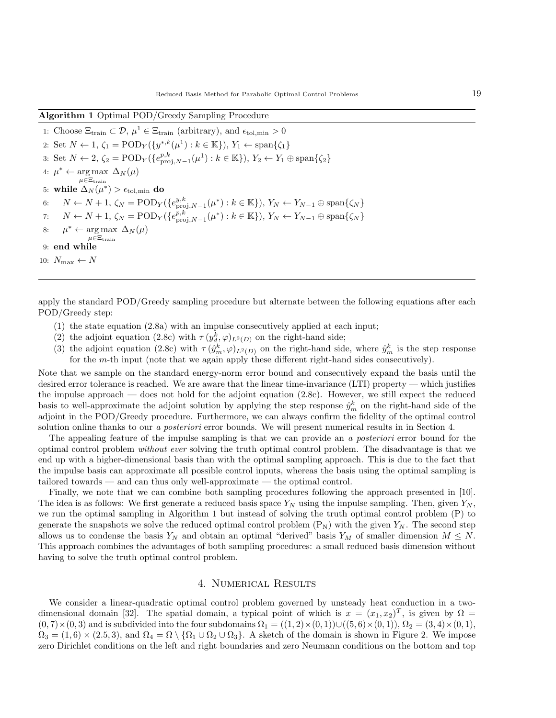# Algorithm 1 Optimal POD/Greedy Sampling Procedure

1: Choose  $\Xi_{\text{train}} \subset \mathcal{D}$ ,  $\mu^1 \in \Xi_{\text{train}}$  (arbitrary), and  $\epsilon_{\text{tol,min}} > 0$ 2: Set  $N \leftarrow 1, \zeta_1 = \text{POD}_Y(\{y^{*,k}(\mu^1) : k \in \mathbb{K}\}), Y_1 \leftarrow \text{span}\{\zeta_1\}$ 3: Set  $N \leftarrow 2$ ,  $\zeta_2 = \text{POD}_Y(\{e_{\text{proj},N-1}^{p,k}(\mu^1) : k \in \mathbb{K}\}), Y_2 \leftarrow Y_1 \oplus \text{span}\{\zeta_2\}$ 4:  $\mu^* \leftarrow \arg \max \Delta_N(\mu)$  $\mu \in \Xi_{\text{train}}$ 5: while  $\Delta_N(\mu^*) > \epsilon_{\text{tol,min}}$  do 6:  $N \leftarrow N + 1, \zeta_N = \text{POD}_Y(\{e^{y,k}_{\text{proj},N-1}(\mu^*): k \in \mathbb{K}\}), Y_N \leftarrow Y_{N-1} \oplus \text{span}\{\zeta_N\}$ 7:  $N \leftarrow N + 1, \zeta_N = \text{POD}_Y(\{e_{\text{proj},N-1}^{p,k}(\mu^*): k \in \mathbb{K}\}), Y_N \leftarrow Y_{N-1} \oplus \text{span}\{\zeta_N\}$ 8:  $\mu^* \leftarrow \arg \max \Delta_N(\mu)$  $\mu{\in}\Xi_{\rm train}$ 9: end while 10:  $N_{\text{max}} \leftarrow N$ 

apply the standard POD/Greedy sampling procedure but alternate between the following equations after each POD/Greedy step:

- (1) the state equation (2.8a) with an impulse consecutively applied at each input;
- (2) the adjoint equation (2.8c) with  $\tau(y_d^k, \varphi)_{L^2(D)}$  on the right-hand side;
- (3) the adjoint equation (2.8c) with  $\tau(\hat{y}_m^k, \varphi)_{L^2(D)}$  on the right-hand side, where  $\hat{y}_m^k$  is the step response for the m-th input (note that we again apply these different right-hand sides consecutively).

Note that we sample on the standard energy-norm error bound and consecutively expand the basis until the desired error tolerance is reached. We are aware that the linear time-invariance (LTI) property — which justifies the impulse approach — does not hold for the adjoint equation (2.8c). However, we still expect the reduced basis to well-approximate the adjoint solution by applying the step response  $\hat{y}_m^k$  on the right-hand side of the adjoint in the POD/Greedy procedure. Furthermore, we can always confirm the fidelity of the optimal control solution online thanks to our a posteriori error bounds. We will present numerical results in in Section 4.

The appealing feature of the impulse sampling is that we can provide an a posteriori error bound for the optimal control problem without ever solving the truth optimal control problem. The disadvantage is that we end up with a higher-dimensional basis than with the optimal sampling approach. This is due to the fact that the impulse basis can approximate all possible control inputs, whereas the basis using the optimal sampling is tailored towards — and can thus only well-approximate — the optimal control.

Finally, we note that we can combine both sampling procedures following the approach presented in [10]. The idea is as follows: We first generate a reduced basis space  $Y_N$  using the impulse sampling. Then, given  $Y_N$ , we run the optimal sampling in Algorithm 1 but instead of solving the truth optimal control problem (P) to generate the snapshots we solve the reduced optimal control problem  $(P_N)$  with the given  $Y_N$ . The second step allows us to condense the basis  $Y_N$  and obtain an optimal "derived" basis  $Y_M$  of smaller dimension  $M \leq N$ . This approach combines the advantages of both sampling procedures: a small reduced basis dimension without having to solve the truth optimal control problem.

# 4. Numerical Results

We consider a linear-quadratic optimal control problem governed by unsteady heat conduction in a twodimensional domain [32]. The spatial domain, a typical point of which is  $x = (x_1, x_2)^T$ , is given by  $\Omega =$  $(0, 7) \times (0, 3)$  and is subdivided into the four subdomains  $\Omega_1 = ((1, 2) \times (0, 1)) \cup ((5, 6) \times (0, 1)), \Omega_2 = (3, 4) \times (0, 1),$  $\Omega_3 = (1, 6) \times (2.5, 3)$ , and  $\Omega_4 = \Omega \setminus {\Omega_1 \cup \Omega_2 \cup \Omega_3}$ . A sketch of the domain is shown in Figure 2. We impose zero Dirichlet conditions on the left and right boundaries and zero Neumann conditions on the bottom and top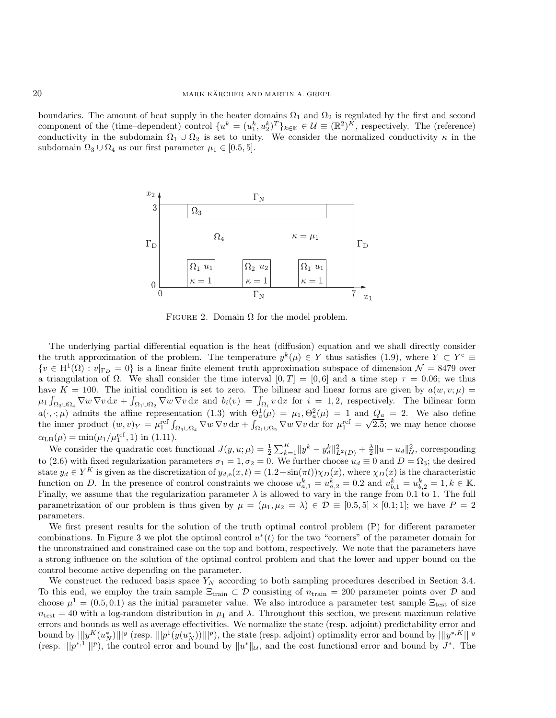boundaries. The amount of heat supply in the heater domains  $\Omega_1$  and  $\Omega_2$  is regulated by the first and second component of the (time–dependent) control  $\{u^k = (u_1^k, u_2^k)^T\}_{k \in \mathbb{K}} \in \mathcal{U} \equiv (\mathbb{R}^2)^K$ , respectively. The (reference) conductivity in the subdomain  $\Omega_1 \cup \Omega_2$  is set to unity. We consider the normalized conductivity  $\kappa$  in the subdomain  $\Omega_3 \cup \Omega_4$  as our first parameter  $\mu_1 \in [0.5, 5]$ .



FIGURE 2. Domain  $\Omega$  for the model problem.

The underlying partial differential equation is the heat (diffusion) equation and we shall directly consider the truth approximation of the problem. The temperature  $y^k(\mu) \in Y$  thus satisfies (1.9), where  $Y \subset Y^e \equiv$  ${v \in H^1(\Omega): v|_{\Gamma_D} = 0}$  is a linear finite element truth approximation subspace of dimension  $\mathcal{N} = 8479$  over a triangulation of Ω. We shall consider the time interval  $[0, T] = [0, 6]$  and a time step  $\tau = 0.06$ ; we thus have  $K = 100$ . The initial condition is set to zero. The bilinear and linear forms are given by  $a(w, v; \mu) =$  $\mu_1 \int_{\Omega_3 \cup \Omega_4} \nabla w \nabla v \,dx + \int_{\Omega_1 \cup \Omega_2} \nabla w \nabla v \,dx$  and  $b_i(v) = \int_{\Omega_i} v \,dx$  for  $i = 1, 2$ , respectively. The bilinear form  $a(\cdot, \cdot; \mu)$  admits the affine representation (1.3) with  $\Theta_a^1(\mu) = \mu_1, \Theta_a^2(\mu) = 1$  and  $Q_a = 2$ . We also define the inner product  $(w, v)_Y = \mu_1^{\text{ref}} \int_{\Omega_3 \cup \Omega_4} \nabla w \nabla v \,dx + \int_{\Omega_1 \cup \Omega_2} \nabla w \nabla v \,dx$  for  $\mu_1^{\text{ref}} =$  $^a$  , 2.5; we may hence choose  $\alpha_{\text{LB}}(\mu) = \min(\mu_1/\mu_1^{\text{ref}}, 1)$  in (1.11).

We consider the quadratic cost functional  $J(y, u; \mu) = \frac{1}{2} \sum_{k=1}^{K} ||y^k - y_d^k||_{L^2(D)}^2 + \frac{\lambda}{2} ||u - u_d||_{\mathcal{U}}^2$ , corresponding to (2.6) with fixed regularization parameters  $\sigma_1 = 1, \sigma_2 = 0$ . We further choose  $u_d \equiv 0$  and  $D = \Omega_3$ ; the desired state  $y_d \in Y^K$  is given as the discretization of  $y_{d,e}(x,t) = (1.2 + \sin(\pi t))\chi_D(x)$ , where  $\chi_D(x)$  is the characteristic function on D. In the presence of control constraints we choose  $u_{a,1}^k = u_{a,2}^k = 0.2$  and  $u_{b,1}^k = u_{b,2}^k = 1, k \in \mathbb{K}$ . Finally, we assume that the regularization parameter  $\lambda$  is allowed to vary in the range from 0.1 to 1. The full parametrization of our problem is thus given by  $\mu = (\mu_1, \mu_2 = \lambda) \in \mathcal{D} \equiv [0.5, 5] \times [0.1; 1]$ ; we have  $P = 2$ parameters.

We first present results for the solution of the truth optimal control problem (P) for different parameter combinations. In Figure 3 we plot the optimal control  $u^*(t)$  for the two "corners" of the parameter domain for the unconstrained and constrained case on the top and bottom, respectively. We note that the parameters have a strong influence on the solution of the optimal control problem and that the lower and upper bound on the control become active depending on the parameter.

We construct the reduced basis space  $Y_N$  according to both sampling procedures described in Section 3.4. To this end, we employ the train sample  $\Xi_{\text{train}} \subset \mathcal{D}$  consisting of  $n_{\text{train}} = 200$  parameter points over  $\mathcal{D}$  and choose  $\mu^1 = (0.5, 0.1)$  as the initial parameter value. We also introduce a parameter test sample  $\Xi_{\text{test}}$  of size  $n_{\text{test}} = 40$  with a log-random distribution in  $\mu_1$  and  $\lambda$ . Throughout this section, we present maximum relative errors and bounds as well as average effectivities. We normalize the state (resp. adjoint) predictability error and bound by  $|||y^K(u_N^*)|||^{y}$  (resp.  $|||p^1(y(u_N^*))|||^{p}),$  the state (resp. adjoint) optimality error and bound by  $|||y^{*,K}|||^{y}$ (resp.  $\| |p^{*,1}|||^p$ ), the control error and bound by  $\|u^*\|_{\mathcal{U}}$ , and the cost functional error and bound by  $J^*$ . The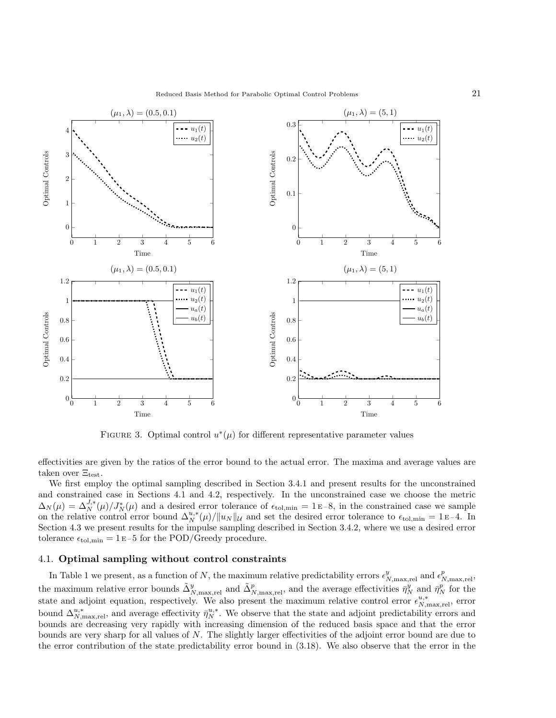

FIGURE 3. Optimal control  $u^*(\mu)$  for different representative parameter values

effectivities are given by the ratios of the error bound to the actual error. The maxima and average values are taken over  $\Xi_{\text{test}}$ .

We first employ the optimal sampling described in Section 3.4.1 and present results for the unconstrained and constrained case in Sections 4.1 and 4.2, respectively. In the unconstrained case we choose the metric  $\Delta_N(\mu) = \Delta_N^{J,*}(\mu)/J_N^*(\mu)$  and a desired error tolerance of  $\epsilon_{\text{tol,min}} = 1E-8$ , in the constrained case we sample on the relative control error bound  $\Delta_N^{u,*}(\mu)/\|u_N\|_{\mathcal{U}}$  and set the desired error tolerance to  $\epsilon_{\text{tol,min}} = 1$  E-4. In Section 4.3 we present results for the impulse sampling described in Section 3.4.2, where we use a desired error tolerance  $\epsilon_{\text{tol,min}} = 1 \text{ E} - 5$  for the POD/Greedy procedure.

# 4.1. Optimal sampling without control constraints

In Table 1 we present, as a function of N, the maximum relative predictability errors  $\epsilon_{N,\max,rel}^y$  and  $\epsilon_{N,\max,rel}^p$ , the maximum relative error bounds  $\tilde{\Delta}_{N,\max,rel}^y$  and  $\tilde{\Delta}_{N,\max,rel}^p$ , and the average effectivities  $\bar{\eta}_N^y$  and  $\bar{\eta}_N^p$  for the state and adjoint equation, respectively. We also present the maximum relative control error  $\epsilon_{N,\max,rel}^{u,*}$ , error bound  $\Delta_{N,\max,rel}^{u,*}$ , and average effectivity  $\bar{\eta}_{N}^{u,*}$ . We observe that the state and adjoint predictability errors and bounds are decreasing very rapidly with increasing dimension of the reduced basis space and that the error bounds are very sharp for all values of N. The slightly larger effectivities of the adjoint error bound are due to the error contribution of the state predictability error bound in (3.18). We also observe that the error in the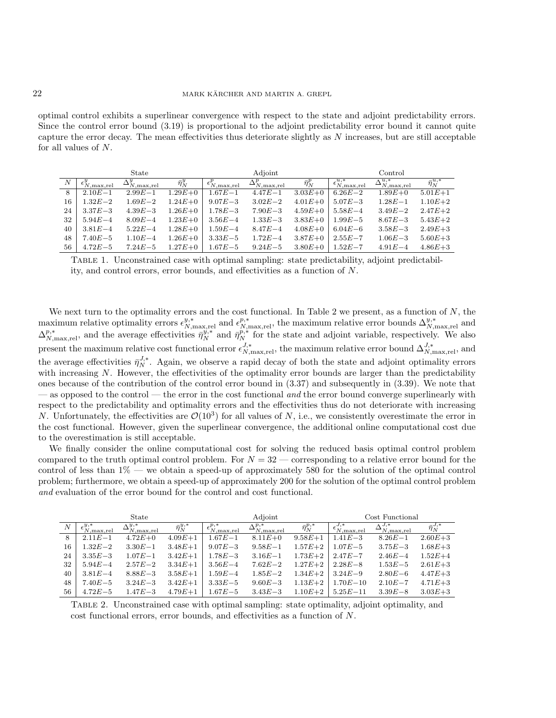optimal control exhibits a superlinear convergence with respect to the state and adjoint predictability errors. Since the control error bound (3.19) is proportional to the adjoint predictability error bound it cannot quite capture the error decay. The mean effectivities thus deteriorate slightly as  $N$  increases, but are still acceptable for all values of N.

|    |              | State        |                  |                                 | Adjoint                               |                  | Control                             |                                    |                                     |
|----|--------------|--------------|------------------|---------------------------------|---------------------------------------|------------------|-------------------------------------|------------------------------------|-------------------------------------|
| N  | $N$ .max.rel | $N$ .max.rel | $\bar{\eta}^y_N$ | $\epsilon_{N,\text{max,rel}}^P$ | $\tilde{\Delta}_{N,\text{max,rel}}^p$ | $\bar{\eta}^p_N$ | $\epsilon_{N,\text{max,rel}}^{u,*}$ | $\Delta^{u,*}_{N}$<br>$N$ .max.rel | $\overline{\bar{\eta}_{N}^{\,u,*}}$ |
| -8 | $2.10E - 1$  | $2.99E - 1$  | $1.29E + 0$      | $1.67E - 1$                     | $4.47E - 1$                           | $3.03E + 0$      | $6.26E - 2$                         | $1.89E + 0$                        | $5.01E + 1$                         |
| 16 | $1.32E - 2$  | $1.69E - 2$  | $1.24E + 0$      | $9.07E - 3$                     | $3.02E - 2$                           | $4.01E + 0$      | $5.07E - 3$                         | $1.28E - 1$                        | $1.10E + 2$                         |
| 24 | $3.37E - 3$  | $4.39E - 3$  | $1.26E + 0$      | $1.78E - 3$                     | $7.90E - 3$                           | $4.59E + 0$      | $5.58E - 4$                         | $3.49E - 2$                        | $2.47E+2$                           |
| 32 | $5.94E - 4$  | $8.09E - 4$  | $1.23E + 0$      | $3.56E - 4$                     | $1.33E - 3$                           | $3.83E + 0$      | $1.99E - 5$                         | $8.67E - 3$                        | $5.43E + 2$                         |
| 40 | $3.81E - 4$  | $5.22E - 4$  | $1.28E + 0$      | $1.59E - 4$                     | $8.47E - 4$                           | $4.08E + 0$      | $6.04E - 6$                         | $3.58E - 3$                        | $2.49E + 3$                         |
| 48 | $7.40E - 5$  | $1.10E - 4$  | $1.26E + 0$      | $3.33E - 5$                     | $1.72E - 4$                           | $3.87E + 0$      | $2.55E - 7$                         | $1.06E - 3$                        | $5.60E + 3$                         |
| 56 | $4.72E - 5$  | $7.24E - 5$  | $1.27E + 0$      | $1.67E - 5$                     | $9.24E - 5$                           | $3.80E + 0$      | $1.52E - 7$                         | $4.91E - 4$                        | $4.86E + 3$                         |

Table 1. Unconstrained case with optimal sampling: state predictability, adjoint predictability, and control errors, error bounds, and effectivities as a function of N.

We next turn to the optimality errors and the cost functional. In Table 2 we present, as a function of  $N$ , the maximum relative optimality errors  $\epsilon_{N,\max,rel}^{y,*}$  and  $\epsilon_{N,\max,rel}^{p,*}$ , the maximum relative error bounds  $\Delta_{N,\max,rel}^{y,*}$  and  $\Delta_{N,\max,rel}^{p,*}$ , and the average effectivities  $\bar{\eta}_N^{y,*}$  and  $\bar{\eta}_N^{p,*}$  for the state and adjoint variable, respectively. We also present the maximum relative cost functional error  $\epsilon_{N,\max,rel}^{J,*}$ , the maximum relative error bound  $\Delta_{N,\max,rel}^{J,*}$ , and the average effectivities  $\bar{\eta}_{N}^{J,*}$ . Again, we observe a rapid decay of both the state and adjoint optimality errors with increasing N. However, the effectivities of the optimality error bounds are larger than the predictability ones because of the contribution of the control error bound in (3.37) and subsequently in (3.39). We note that — as opposed to the control — the error in the cost functional *and* the error bound converge superlinearly with respect to the predictability and optimality errors and the effectivities thus do not deteriorate with increasing N. Unfortunately, the effectivities are  $\mathcal{O}(10^3)$  for all values of N, i.e., we consistently overestimate the error in the cost functional. However, given the superlinear convergence, the additional online computational cost due to the overestimation is still acceptable.

We finally consider the online computational cost for solving the reduced basis optimal control problem compared to the truth optimal control problem. For  $N = 32$  — corresponding to a relative error bound for the control of less than  $1\%$  — we obtain a speed-up of approximately 580 for the solution of the optimal control problem; furthermore, we obtain a speed-up of approximately 200 for the solution of the optimal control problem and evaluation of the error bound for the control and cost functional.

|    |                                     | State                            | Adjoint                |                               |                                   | Cost Functional      |                               |                             |                             |
|----|-------------------------------------|----------------------------------|------------------------|-------------------------------|-----------------------------------|----------------------|-------------------------------|-----------------------------|-----------------------------|
| N  | $\epsilon_{N,\text{max,rel}}^{y,*}$ | $\Lambda^{y,*}$<br>$N,$ max, rel | $\bar{\eta}_{N}^{y,*}$ | $\epsilon_{N,\text{max,rel}}$ | $\Delta_{N,\text{max,rel}}^{p,*}$ | $\bar{\eta}^{p,*}_N$ | $\epsilon_{N,\text{max,rel}}$ | $\Delta_{N,\text{max,rel}}$ | $\overline{\eta}_{N}^{J,*}$ |
| -8 | $2.11E - 1$                         | $4.72E + 0$                      | $4.09E + 1$            | $1.67E - 1$                   | $8.11E + 0$                       | $9.58E + 1$          | $1.41E - 3$                   | $8.26E - 1$                 | $2.60E + 3$                 |
| 16 | $1.32E - 2$                         | $3.30E - 1$                      | $3.48E + 1$            | $9.07E - 3$                   | $9.58E - 1$                       | $1.57E + 2$          | $1.07E - 5$                   | $3.75E - 3$                 | $1.68E + 3$                 |
| 24 | $3.35E - 3$                         | $1.07E - 1$                      | $3.42E+1$              | $1.78E - 3$                   | $3.16E - 1$                       | $1.73E + 2$          | $2.47E - 7$                   | $2.46E - 4$                 | $1.52E+4$                   |
| 32 | $5.94E - 4$                         | $2.57E - 2$                      | $3.34E + 1$            | $3.56E - 4$                   | $7.62E - 2$                       | $1.27E + 2$          | $2.28E - 8$                   | $1.53E - 5$                 | $2.61E + 3$                 |
| 40 | $3.81E - 4$                         | $8.88E - 3$                      | $3.58E + 1$            | $1.59E - 4$                   | $1.85E - 2$                       | $1.34E + 2$          | $3.24E - 9$                   | $2.80E - 6$                 | $4.47E + 3$                 |
| 48 | $7.40E - 5$                         | $3.24E - 3$                      | $3.42E + 1$            | $3.33E - 5$                   | $9.60E - 3$                       | $1.13E + 2$          | $1.70E - 10$                  | $2.10E - 7$                 | $4.71E + 3$                 |
| 56 | $4.72E - 5$                         | $1.47E - 3$                      | $4.79E + 1$            | $1.67E - 5$                   | $3.43E - 3$                       | $1.10E + 2$          | $5.25E - 11$                  | $3.39E - 8$                 | $3.03E + 3$                 |

Table 2. Unconstrained case with optimal sampling: state optimality, adjoint optimality, and cost functional errors, error bounds, and effectivities as a function of N.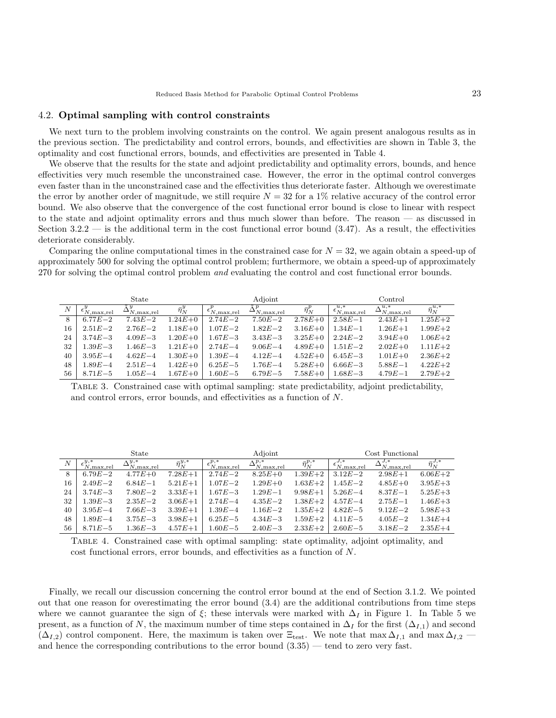# 4.2. Optimal sampling with control constraints

We next turn to the problem involving constraints on the control. We again present analogous results as in the previous section. The predictability and control errors, bounds, and effectivities are shown in Table 3, the optimality and cost functional errors, bounds, and effectivities are presented in Table 4.

We observe that the results for the state and adjoint predictability and optimality errors, bounds, and hence effectivities very much resemble the unconstrained case. However, the error in the optimal control converges even faster than in the unconstrained case and the effectivities thus deteriorate faster. Although we overestimate the error by another order of magnitude, we still require  $N = 32$  for a 1% relative accuracy of the control error bound. We also observe that the convergence of the cost functional error bound is close to linear with respect to the state and adjoint optimality errors and thus much slower than before. The reason — as discussed in Section  $3.2.2$  — is the additional term in the cost functional error bound  $(3.47)$ . As a result, the effectivities deteriorate considerably.

Comparing the online computational times in the constrained case for  $N = 32$ , we again obtain a speed-up of approximately 500 for solving the optimal control problem; furthermore, we obtain a speed-up of approximately 270 for solving the optimal control problem *and* evaluating the control and cost functional error bounds.

|    |                                 | State          |                      |                                 | Adjoint                       |                  | Control                       |                                      |                            |
|----|---------------------------------|----------------|----------------------|---------------------------------|-------------------------------|------------------|-------------------------------|--------------------------------------|----------------------------|
| N  | $\epsilon_{N,\mathrm{max,rel}}$ | $N$ , max, rel | $\bar{\eta}_{N}^{y}$ | $\epsilon_{N,\text{max,rel}}^r$ | $\Delta_{N,\text{max,rel}}^p$ | $\bar{\eta}^p_N$ | $\epsilon_{N,\text{max,rel}}$ | $u,*$<br>$\Delta_{N,\text{max,rel}}$ | $\overline{\eta }_N^{u,*}$ |
| 8  | $6.77E - 2$                     | $7.43E - 2$    | $1.24E + 0$          | $2.74E - 2$                     | $7.50E - 2$                   | $2.78E + 0$      | $2.58E - 1$                   | $2.43E + 1$                          | $1.25E+2$                  |
| 16 | $2.51E - 2$                     | $2.76E - 2$    | $1.18E + 0$          | $1.07E - 2$                     | $1.82E - 2$                   | $3.16E + 0$      | $1.34E - 1$                   | $1.26E + 1$                          | $1.99E + 2$                |
| 24 | $3.74E - 3$                     | $4.09E - 3$    | $1.20E + 0$          | $1.67E - 3$                     | $3.43E - 3$                   | $3.25E+0$        | $2.24E - 2$                   | $3.94E + 0$                          | $1.06E + 2$                |
| 32 | $1.39E - 3$                     | $1.46E{-}3$    | $1.21E + 0$          | $2.74E - 4$                     | $9.06E - 4$                   | $4.89E + 0$      | $1.51E - 2$                   | $2.02E + 0$                          | $1.11E + 2$                |
| 40 | $3.95E - 4$                     | $4.62E - 4$    | $1.30E + 0$          | $1.39E - 4$                     | $4.12E - 4$                   | $4.52E + 0$      | $6.45E - 3$                   | $1.01E + 0$                          | $2.36E+2$                  |
| 48 | $1.89E - 4$                     | $2.51E - 4$    | $1.42E + 0$          | $6.25E - 5$                     | $1.76E - 4$                   | $5.28E + 0$      | $6.66E - 3$                   | $5.88E - 1$                          | $4.22E+2$                  |
| 56 | $8.71E - 5$                     | $1.05E - 4$    | $1.67E + 0$          | $1.60E - 5$                     | $6.79E - 5$                   | $7.58E + 0$      | $1.68E - 3$                   | $4.79E - 1$                          | $2.79E + 2$                |

Table 3. Constrained case with optimal sampling: state predictability, adjoint predictability, and control errors, error bounds, and effectivities as a function of N.

|    |                                     | State                             |                        | Adjoint                             |                                   |                      | Cost Functional               |                                                  |                                 |  |
|----|-------------------------------------|-----------------------------------|------------------------|-------------------------------------|-----------------------------------|----------------------|-------------------------------|--------------------------------------------------|---------------------------------|--|
| N  | $\epsilon_{N,\text{max,rel}}^{y,*}$ | $\Delta^{y,*}_{N,\text{max,rel}}$ | $\bar{\eta}_{N}^{y,*}$ | $\epsilon_{N,\text{max,rel}}^{p,*}$ | $\Delta_{N,\text{max,rel}}^{p,*}$ | $\bar{\eta}^{p,*}_N$ | $\epsilon_{N,\text{max,rel}}$ | $J, *$<br>$\Delta_{N,\text{max,rel}}^{\jmath,*}$ | $\overline{\bar{\eta}}_N^{J,*}$ |  |
| -8 | $6.79E - 2$                         | $4.77E+0$                         | $7.28E + 1$            | $2.74E - 2$                         | $8.25E + 0$                       | $1.39E + 2$          | $3.12E - 2$                   | $2.98E+1$                                        | $6.06E + 2$                     |  |
| 16 | $2.49E - 2$                         | $6.84E - 1$                       | $5.21E+1$              | $1.07E - 2$                         | $1.29E + 0$                       | $1.63E + 2$          | $1.45E - 2$                   | $4.85E + 0$                                      | $3.95E + 3$                     |  |
| 24 | $3.74E - 3$                         | $7.80E - 2$                       | $3.33E+1$              | $1.67E - 3$                         | $1.29E - 1$                       | $9.98E + 1$          | $5.26E - 4$                   | $8.37E - 1$                                      | $5.25E + 3$                     |  |
| 32 | $1.39E - 3$                         | $2.35E - 2$                       | $3.06E + 1$            | $2.74E - 4$                         | $4.35E - 2$                       | $1.38E + 2$          | $4.57E - 4$                   | $2.75E - 1$                                      | $1.46E + 3$                     |  |
| 40 | $3.95E - 4$                         | $7.66E - 3$                       | $3.39E + 1$            | $1.39E - 4$                         | $1.16E - 2$                       | $1.35E + 2$          | $4.82E - 5$                   | $9.12E - 2$                                      | $5.98E + 3$                     |  |
| 48 | $1.89E - 4$                         | $3.75E - 3$                       | $3.98E + 1$            | $6.25E - 5$                         | $4.34E - 3$                       | $1.59E + 2$          | $4.11E - 5$                   | $4.05E - 2$                                      | $1.34E + 4$                     |  |
| 56 | $8.71E - 5$                         | $1.36E - 3$                       | $4.57E + 1$            | $1.60E - 5$                         | $2.40E - 3$                       | $2.33E+2$            | $2.60E - 5$                   | $3.18E - 2$                                      | $2.35E+4$                       |  |

Table 4. Constrained case with optimal sampling: state optimality, adjoint optimality, and cost functional errors, error bounds, and effectivities as a function of N.

Finally, we recall our discussion concerning the control error bound at the end of Section 3.1.2. We pointed out that one reason for overestimating the error bound (3.4) are the additional contributions from time steps where we cannot guarantee the sign of  $\xi$ ; these intervals were marked with  $\Delta_I$  in Figure 1. In Table 5 we present, as a function of N, the maximum number of time steps contained in  $\Delta_I$  for the first  $(\Delta_{I,1})$  and second  $(\Delta_{I,2})$  control component. Here, the maximum is taken over  $\Xi_{\text{test}}$ . We note that max  $\Delta_{I,1}$  and max  $\Delta_{I,2}$  and hence the corresponding contributions to the error bound  $(3.35)$  — tend to zero very fast.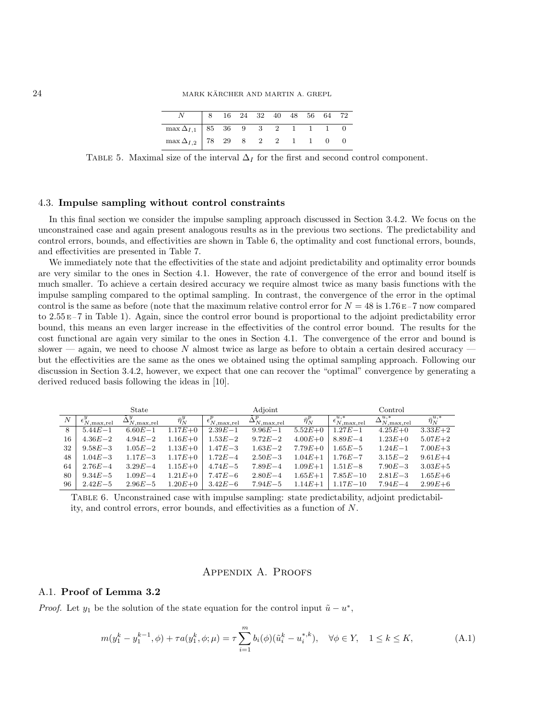| $N$   8 16 24 32 40 48 56 64 72         |  |  |  |  |  |
|-----------------------------------------|--|--|--|--|--|
| $\max \Delta_{I,1}$ 85 36 9 3 2 1 1 1 0 |  |  |  |  |  |
| $\max \Delta_{I,2}$ 78 29 8 2 2 1 1 0 0 |  |  |  |  |  |

TABLE 5. Maximal size of the interval  $\Delta_I$  for the first and second control component.

#### 4.3. Impulse sampling without control constraints

In this final section we consider the impulse sampling approach discussed in Section 3.4.2. We focus on the unconstrained case and again present analogous results as in the previous two sections. The predictability and control errors, bounds, and effectivities are shown in Table 6, the optimality and cost functional errors, bounds, and effectivities are presented in Table 7.

We immediately note that the effectivities of the state and adjoint predictability and optimality error bounds are very similar to the ones in Section 4.1. However, the rate of convergence of the error and bound itself is much smaller. To achieve a certain desired accuracy we require almost twice as many basis functions with the impulse sampling compared to the optimal sampling. In contrast, the convergence of the error in the optimal control is the same as before (note that the maximum relative control error for  $N = 48$  is 1.76 E – 7 now compared to 2.55 E – 7 in Table 1). Again, since the control error bound is proportional to the adjoint predictability error bound, this means an even larger increase in the effectivities of the control error bound. The results for the cost functional are again very similar to the ones in Section 4.1. The convergence of the error and bound is slower — again, we need to choose N almost twice as large as before to obtain a certain desired accuracy but the effectivities are the same as the ones we obtained using the optimal sampling approach. Following our discussion in Section 3.4.2, however, we expect that one can recover the "optimal" convergence by generating a derived reduced basis following the ideas in [10].

|    |                | State                     |                  |                                 | Adioint                          |                  | Control                             |                                   |                            |
|----|----------------|---------------------------|------------------|---------------------------------|----------------------------------|------------------|-------------------------------------|-----------------------------------|----------------------------|
| N  | $N$ , max, rel | $\Delta^y$<br>N, max, rel | $\bar{\eta}^y_N$ | $\epsilon_{N,\text{max,rel}}^p$ | $\Delta$ <sub>N</sub> , max, rel | $\bar{\eta}^p_N$ | $\epsilon_{N,\text{max,rel}}^{u,*}$ | $\Delta_{N,\text{max,rel}}^{u,*}$ | $\bar{\bar{\eta}}_N^{u,*}$ |
| 8  | $5.44E - 1$    | $6.60E - 1$               | $1.17E + 0$      | $2.39E - 1$                     | $9.96E - 1$                      | $5.52E+0$        | $1.27E - 1$                         | $4.25E+0$                         | $3.33E+2$                  |
| 16 | $4.36E - 2$    | $4.94E - 2$               | $1.16E + 0$      | $1.53E - 2$                     | $9.72E - 2$                      | $4.00E + 0$      | $8.89E - 4$                         | $1.23E + 0$                       | $5.07E + 2$                |
| 32 | $9.58E - 3$    | $1.05E - 2$               | $1.13E + 0$      | $1.47E - 3$                     | $1.63E - 2$                      | $7.79E + 0$      | $1.65E - 5$                         | $1.24E - 1$                       | $7.00E + 3$                |
| 48 | $1.04E - 3$    | $1.17E - 3$               | $1.17E + 0$      | $1.72E - 4$                     | $2.50E - 3$                      | $1.04E + 1$      | $1.76E - 7$                         | $3.15E - 2$                       | $9.61E + 4$                |
| 64 | $2.76E - 4$    | $3.29E - 4$               | $1.15E + 0$      | $4.74E - 5$                     | $7.89E - 4$                      | $1.09E + 1$      | $1.51E - 8$                         | $7.90E - 3$                       | $3.03E + 5$                |
| 80 | $9.34E - 5$    | $1.09E - 4$               | $1.21E + 0$      | $7.47E - 6$                     | $2.80E - 4$                      | $1.65E + 1$      | $7.85E - 10$                        | $2.81E - 3$                       | $1.65E + 6$                |
| 96 | $2.42E - 5$    | $2.96E - 5$               | $1.20E + 0$      | $3.42E - 6$                     | $7.94E - 5$                      | $1.14E + 1$      | $1.17E - 10$                        | $7.94E - 4$                       | $2.99E + 6$                |

Table 6. Unconstrained case with impulse sampling: state predictability, adjoint predictability, and control errors, error bounds, and effectivities as a function of N.

# Appendix A. Proofs

#### A.1. Proof of Lemma 3.2

*Proof.* Let  $y_1$  be the solution of the state equation for the control input  $\tilde{u} - u^*$ ,

$$
m(y_1^k - y_1^{k-1}, \phi) + \tau a(y_1^k, \phi; \mu) = \tau \sum_{i=1}^m b_i(\phi)(\tilde{u}_i^k - u_i^{*,k}), \quad \forall \phi \in Y, \quad 1 \le k \le K,
$$
 (A.1)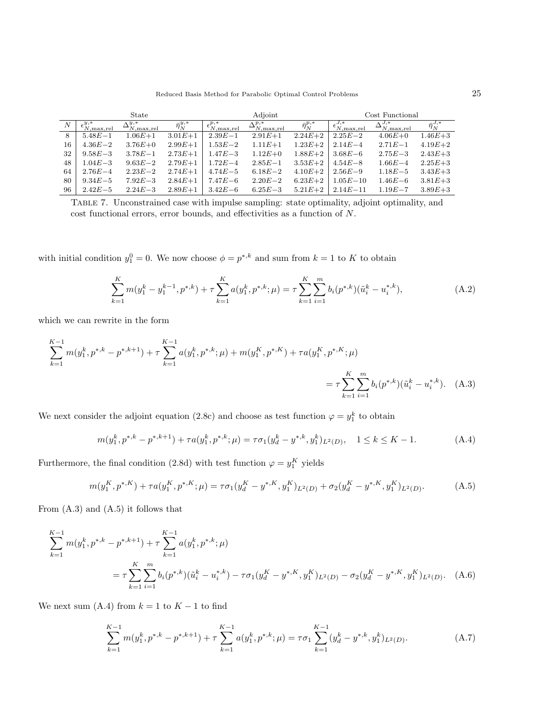|    |              | State                             |                        | Adjoint                             |                                   |                        | Cost Functional               |                                           |                             |
|----|--------------|-----------------------------------|------------------------|-------------------------------------|-----------------------------------|------------------------|-------------------------------|-------------------------------------------|-----------------------------|
| N  | $N,$ max,rel | $\Delta_{N,\text{max,rel}}^{y,*}$ | $\bar{\eta}_{N}^{y,*}$ | $\epsilon_{N,\text{max,rel}}^{p,*}$ | $\Delta_{N,\text{max,rel}}^{p,*}$ | $\bar{\eta}_{N}^{p,*}$ | $\epsilon_{N,\text{max,rel}}$ | $\Delta_{N,\text{max,rel}}^{\mathcal{L}}$ | $\overline{\eta}_{N}^{J,*}$ |
| 8  | $5.48E - 1$  | $1.06E + 1$                       | $3.01E + 1$            | $2.39E - 1$                         | $2.91E + 1$                       | $2.24E + 2$            | $2.25E - 2$                   | $4.06E + 0$                               | $1.46E + 3$                 |
| 16 | $4.36E - 2$  | $3.76E + 0$                       | $2.99E+1$              | $1.53E - 2$                         | $1.11E + 1$                       | $1.23E + 2$            | $2.14E - 4$                   | $2.71E - 1$                               | $4.19E + 2$                 |
| 32 | $9.58E - 3$  | $3.78E - 1$                       | $2.73E + 1$            | $1.47E - 3$                         | $1.12E + 0$                       | $1.88E + 2$            | $3.68E - 6$                   | $2.75E - 3$                               | $2.43E + 3$                 |
| 48 | $1.04E - 3$  | $9.63E - 2$                       | $2.79E + 1$            | $1.72E - 4$                         | $2.85E - 1$                       | $3.53E + 2$            | $4.54E - 8$                   | $1.66E - 4$                               | $2.25E + 3$                 |
| 64 | $2.76E - 4$  | $2.23E - 2$                       | $2.74E + 1$            | $4.74E - 5$                         | $6.18E - 2$                       | $4.10E + 2$            | $2.56E - 9$                   | $1.18E - 5$                               | $3.43E + 3$                 |
| 80 | $9.34E - 5$  | $7.92E - 3$                       | $2.84E + 1$            | $7.47E - 6$                         | $2.20E - 2$                       | $6.23E+2$              | $1.05E - 10$                  | $1.46E - 6$                               | $3.81E + 3$                 |
| 96 | $2.42E - 5$  | $2.24E - 3$                       | $2.89E + 1$            | $3.42E - 6$                         | $6.25E - 3$                       | $5.21E + 2$            | $2.14E - 11$                  | $1.19E - 7$                               | $3.89E + 3$                 |

Table 7. Unconstrained case with impulse sampling: state optimality, adjoint optimality, and cost functional errors, error bounds, and effectivities as a function of  $N$ .

with initial condition  $y_1^0 = 0$ . We now choose  $\phi = p^{*,k}$  and sum from  $k = 1$  to K to obtain

$$
\sum_{k=1}^{K} m(y_1^k - y_1^{k-1}, p^{*,k}) + \tau \sum_{k=1}^{K} a(y_1^k, p^{*,k}; \mu) = \tau \sum_{k=1}^{K} \sum_{i=1}^{m} b_i(p^{*,k}) (\tilde{u}_i^k - u_i^{*,k}),
$$
\n(A.2)

which we can rewrite in the form

$$
\sum_{k=1}^{K-1} m(y_1^k, p^{*,k} - p^{*,k+1}) + \tau \sum_{k=1}^{K-1} a(y_1^k, p^{*,k}; \mu) + m(y_1^K, p^{*,K}) + \tau a(y_1^K, p^{*,K}; \mu)
$$
  
= 
$$
\tau \sum_{k=1}^{K} \sum_{i=1}^{m} b_i(p^{*,k}) (\tilde{u}_i^k - u_i^{*,k}). \quad (A.3)
$$

We next consider the adjoint equation (2.8c) and choose as test function  $\varphi = y_1^k$  to obtain

$$
m(y_1^k, p^{*,k} - p^{*,k+1}) + \tau a(y_1^k, p^{*,k}; \mu) = \tau \sigma_1 (y_d^k - y^{*,k}, y_1^k)_{L^2(D)}, \quad 1 \le k \le K - 1.
$$
 (A.4)

Furthermore, the final condition (2.8d) with test function  $\varphi = y_1^K$  yields

$$
m(y_1^K, p^{*,K}) + \tau a(y_1^K, p^{*,K}; \mu) = \tau \sigma_1 (y_d^K - y^{*,K}, y_1^K)_{L^2(D)} + \sigma_2 (y_d^K - y^{*,K}, y_1^K)_{L^2(D)}.
$$
 (A.5)

From (A.3) and (A.5) it follows that

$$
\sum_{k=1}^{K-1} m(y_1^k, p^{*,k} - p^{*,k+1}) + \tau \sum_{k=1}^{K-1} a(y_1^k, p^{*,k}; \mu)
$$
  
= 
$$
\tau \sum_{k=1}^{K} \sum_{i=1}^{m} b_i(p^{*,k}) (\tilde{u}_i^k - u_i^{*,k}) - \tau \sigma_1 (y_d^K - y^{*,K}, y_1^K)_{L^2(D)} - \sigma_2 (y_d^K - y^{*,K}, y_1^K)_{L^2(D)}. \quad (A.6)
$$

We next sum (A.4) from  $k = 1$  to  $K - 1$  to find

$$
\sum_{k=1}^{K-1} m(y_1^k, p^{*,k} - p^{*,k+1}) + \tau \sum_{k=1}^{K-1} a(y_1^k, p^{*,k}; \mu) = \tau \sigma_1 \sum_{k=1}^{K-1} (y_d^k - y^{*,k}, y_1^k)_{L^2(D)}.
$$
 (A.7)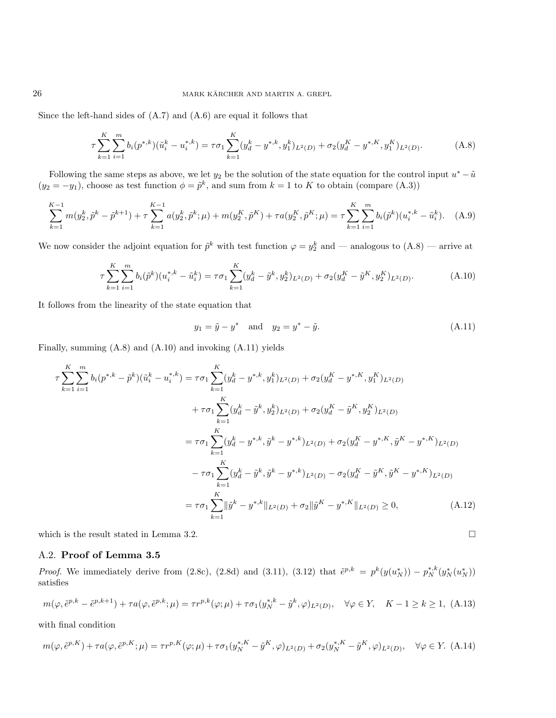Since the left-hand sides of (A.7) and (A.6) are equal it follows that

$$
\tau \sum_{k=1}^{K} \sum_{i=1}^{m} b_i(p^{*,k})(\tilde{u}_i^k - u_i^{*,k}) = \tau \sigma_1 \sum_{k=1}^{K} (y_d^k - y^{*,k}, y_1^k)_{L^2(D)} + \sigma_2 (y_d^K - y^{*,K}, y_1^K)_{L^2(D)}.
$$
 (A.8)

Following the same steps as above, we let  $y_2$  be the solution of the state equation for the control input  $u^* - \tilde{u}$  $(y_2 = -y_1)$ , choose as test function  $\phi = \tilde{p}^k$ , and sum from  $k = 1$  to K to obtain (compare (A.3))

$$
\sum_{k=1}^{K-1} m(y_2^k, \tilde{p}^k - \tilde{p}^{k+1}) + \tau \sum_{k=1}^{K-1} a(y_2^k, \tilde{p}^k; \mu) + m(y_2^K, \tilde{p}^K) + \tau a(y_2^K, \tilde{p}^K; \mu) = \tau \sum_{k=1}^{K} \sum_{i=1}^{m} b_i(\tilde{p}^k) (u_i^{*,k} - \tilde{u}_i^k). \tag{A.9}
$$

We now consider the adjoint equation for  $\tilde{p}^k$  with test function  $\varphi = y_2^k$  and — analogous to  $(A.8)$  — arrive at

$$
\tau \sum_{k=1}^{K} \sum_{i=1}^{m} b_i(\tilde{p}^k) (u_i^{*,k} - \tilde{u}_i^k) = \tau \sigma_1 \sum_{k=1}^{K} (y_d^k - \tilde{y}^k, y_2^k)_{L^2(D)} + \sigma_2 (y_d^K - \tilde{y}^K, y_2^K)_{L^2(D)}.
$$
 (A.10)

It follows from the linearity of the state equation that

$$
y_1 = \tilde{y} - y^*
$$
 and  $y_2 = y^* - \tilde{y}$ . (A.11)

Finally, summing (A.8) and (A.10) and invoking (A.11) yields

$$
\tau \sum_{k=1}^{K} \sum_{i=1}^{m} b_{i} (p^{*,k} - \tilde{p}^{k}) (\tilde{u}_{i}^{k} - u_{i}^{*,k}) = \tau \sigma_{1} \sum_{k=1}^{K} (y_{d}^{k} - y^{*,k}, y_{1}^{k})_{L^{2}(D)} + \sigma_{2} (y_{d}^{K} - y^{*,K}, y_{1}^{K})_{L^{2}(D)}
$$
  
\n
$$
+ \tau \sigma_{1} \sum_{k=1}^{K} (y_{d}^{k} - \tilde{y}^{k}, y_{2}^{k})_{L^{2}(D)} + \sigma_{2} (y_{d}^{K} - \tilde{y}^{K}, y_{2}^{K})_{L^{2}(D)}
$$
  
\n
$$
= \tau \sigma_{1} \sum_{k=1}^{K} (y_{d}^{k} - y^{*,k}, \tilde{y}^{k} - y^{*,k})_{L^{2}(D)} + \sigma_{2} (y_{d}^{K} - y^{*,K}, \tilde{y}^{K} - y^{*,K})_{L^{2}(D)}
$$
  
\n
$$
- \tau \sigma_{1} \sum_{k=1}^{K} (y_{d}^{k} - \tilde{y}^{k}, \tilde{y}^{k} - y^{*,k})_{L^{2}(D)} - \sigma_{2} (y_{d}^{K} - \tilde{y}^{K}, \tilde{y}^{K} - y^{*,K})_{L^{2}(D)}
$$
  
\n
$$
= \tau \sigma_{1} \sum_{k=1}^{K} ||\tilde{y}^{k} - y^{*,k}||_{L^{2}(D)} + \sigma_{2} ||\tilde{y}^{K} - y^{*,K}||_{L^{2}(D)} \ge 0,
$$
 (A.12)

which is the result stated in Lemma 3.2.  $\Box$ 

# A.2. Proof of Lemma 3.5

*Proof.* We immediately derive from (2.8c), (2.8d) and (3.11), (3.12) that  $\tilde{e}^{p,k} = p^k(y(u_N^*)) - p_N^{*,k}(y_N^*(u_N^*))$ satisfies

$$
m(\varphi, \tilde{e}^{p,k} - \tilde{e}^{p,k+1}) + \tau a(\varphi, \tilde{e}^{p,k}; \mu) = \tau r^{p,k}(\varphi; \mu) + \tau \sigma_1(y_N^{*,k} - \tilde{y}^k, \varphi)_{L^2(D)}, \quad \forall \varphi \in Y, \quad K - 1 \ge k \ge 1, \tag{A.13}
$$

with final condition

$$
m(\varphi, \tilde{e}^{p,K}) + \tau a(\varphi, \tilde{e}^{p,K}; \mu) = \tau r^{p,K}(\varphi; \mu) + \tau \sigma_1(y_N^{*,K} - \tilde{y}^K, \varphi)_{L^2(D)} + \sigma_2(y_N^{*,K} - \tilde{y}^K, \varphi)_{L^2(D)}, \quad \forall \varphi \in Y. \tag{A.14}
$$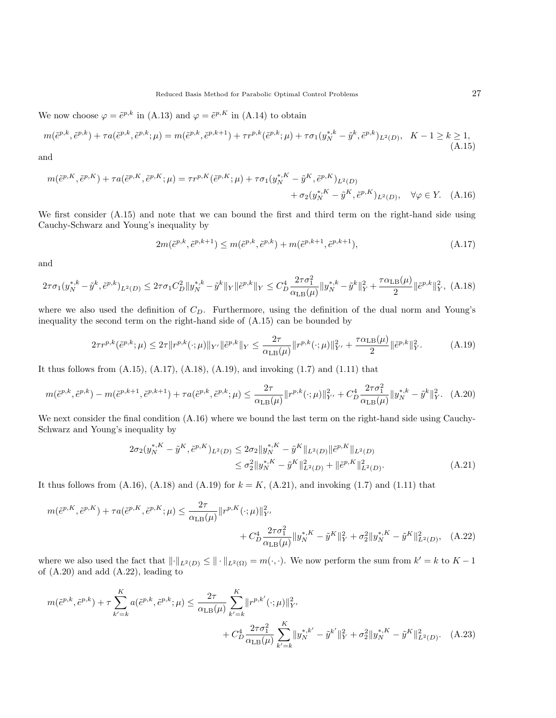We now choose  $\varphi = \tilde{e}^{p,k}$  in (A.13) and  $\varphi = \tilde{e}^{p,K}$  in (A.14) to obtain

$$
m(\tilde{e}^{p,k}, \tilde{e}^{p,k}) + \tau a(\tilde{e}^{p,k}, \tilde{e}^{p,k}; \mu) = m(\tilde{e}^{p,k}, \tilde{e}^{p,k+1}) + \tau r^{p,k}(\tilde{e}^{p,k}; \mu) + \tau \sigma_1(y_N^{*,k} - \tilde{y}^k, \tilde{e}^{p,k})_{L^2(D)}, \quad K - 1 \ge k \ge 1,
$$
\n(A.15)

and

$$
m(\tilde{e}^{p,K}, \tilde{e}^{p,K}) + \tau a(\tilde{e}^{p,K}, \tilde{e}^{p,K}; \mu) = \tau r^{p,K}(\tilde{e}^{p,K}; \mu) + \tau \sigma_1(y_N^{*,K} - \tilde{y}^K, \tilde{e}^{p,K})_{L^2(D)} + \sigma_2(y_N^{*,K} - \tilde{y}^K, \tilde{e}^{p,K})_{L^2(D)}, \quad \forall \varphi \in Y. \tag{A.16}
$$

We first consider (A.15) and note that we can bound the first and third term on the right-hand side using Cauchy-Schwarz and Young's inequality by

$$
2m(\tilde{e}^{p,k}, \tilde{e}^{p,k+1}) \le m(\tilde{e}^{p,k}, \tilde{e}^{p,k}) + m(\tilde{e}^{p,k+1}, \tilde{e}^{p,k+1}),
$$
\n(A.17)

and

$$
2\tau\sigma_1(y_N^{*,k} - \tilde{y}^k, \tilde{e}^{p,k})_{L^2(D)} \le 2\tau\sigma_1 C_D^2 \|y_N^{*,k} - \tilde{y}^k\|_Y \|\tilde{e}^{p,k}\|_Y \le C_D^4 \frac{2\tau\sigma_1^2}{\alpha_{\text{LB}}(\mu)} \|y_N^{*,k} - \tilde{y}^k\|_Y^2 + \frac{\tau\alpha_{\text{LB}}(\mu)}{2} \|\tilde{e}^{p,k}\|_Y^2, \tag{A.18}
$$

where we also used the definition of  $C_D$ . Furthermore, using the definition of the dual norm and Young's inequality the second term on the right-hand side of (A.15) can be bounded by

$$
2\tau r^{p,k}(\tilde{e}^{p,k};\mu) \le 2\tau \|r^{p,k}(\cdot;\mu)\|_{Y'} \|\tilde{e}^{p,k}\|_{Y} \le \frac{2\tau}{\alpha_{\text{LB}}(\mu)} \|r^{p,k}(\cdot;\mu)\|_{Y'}^2 + \frac{\tau\alpha_{\text{LB}}(\mu)}{2} \|\tilde{e}^{p,k}\|_{Y}^2. \tag{A.19}
$$

It thus follows from  $(A.15)$ ,  $(A.17)$ ,  $(A.18)$ ,  $(A.19)$ , and invoking  $(1.7)$  and  $(1.11)$  that

$$
m(\tilde{e}^{p,k}, \tilde{e}^{p,k}) - m(\tilde{e}^{p,k+1}, \tilde{e}^{p,k+1}) + \tau a(\tilde{e}^{p,k}, \tilde{e}^{p,k}; \mu) \le \frac{2\tau}{\alpha_{\text{LB}}(\mu)} \|r^{p,k}(\cdot;\mu)\|_{Y'}^2 + C_D^4 \frac{2\tau \sigma_1^2}{\alpha_{\text{LB}}(\mu)} \|y_N^{*,k} - \tilde{y}^k\|_Y^2. \tag{A.20}
$$

We next consider the final condition  $(A.16)$  where we bound the last term on the right-hand side using Cauchy-Schwarz and Young's inequality by

$$
2\sigma_2(y_N^{*,K} - \tilde{y}^K, \tilde{e}^{p,K})_{L^2(D)} \le 2\sigma_2 \|y_N^{*,K} - \tilde{y}^K\|_{L^2(D)} \|\tilde{e}^{p,K}\|_{L^2(D)} \le \sigma_2^2 \|y_N^{*,K} - \tilde{y}^K\|_{L^2(D)}^2 + \|\tilde{e}^{p,K}\|_{L^2(D)}^2.
$$
\n(A.21)

It thus follows from  $(A.16)$ ,  $(A.18)$  and  $(A.19)$  for  $k = K$ ,  $(A.21)$ , and invoking  $(1.7)$  and  $(1.11)$  that

$$
m(\tilde{e}^{p,K}, \tilde{e}^{p,K}) + \tau a(\tilde{e}^{p,K}, \tilde{e}^{p,K}; \mu) \le \frac{2\tau}{\alpha_{\text{LB}}(\mu)} \|r^{p,K}(\cdot;\mu)\|_{Y'}^2 + C_D^4 \frac{2\tau \sigma_1^2}{\alpha_{\text{LB}}(\mu)} \|y_N^{*,K} - \tilde{y}^K\|_Y^2 + \sigma_2^2 \|y_N^{*,K} - \tilde{y}^K\|_{L^2(D)}^2, \quad (A.22)
$$

where we also used the fact that  $\|\cdot\|_{L^2(D)} \leq \|\cdot\|_{L^2(\Omega)} = m(\cdot, \cdot)$ . We now perform the sum from  $k' = k$  to  $K - 1$ of (A.20) and add (A.22), leading to

$$
m(\tilde{e}^{p,k}, \tilde{e}^{p,k}) + \tau \sum_{k'=k}^{K} a(\tilde{e}^{p,k}, \tilde{e}^{p,k}; \mu) \le \frac{2\tau}{\alpha_{\text{LB}}(\mu)} \sum_{k'=k}^{K} ||r^{p,k'}(\cdot;\mu)||_{Y'}^{2} + C_{D}^{4} \frac{2\tau \sigma_{1}^{2}}{\alpha_{\text{LB}}(\mu)} \sum_{k'=k}^{K} ||y_{N}^{*,k'} - \tilde{y}^{k'}||_{Y}^{2} + \sigma_{2}^{2} ||y_{N}^{*,K} - \tilde{y}^{K}||_{L^{2}(D)}^{2}.
$$
 (A.23)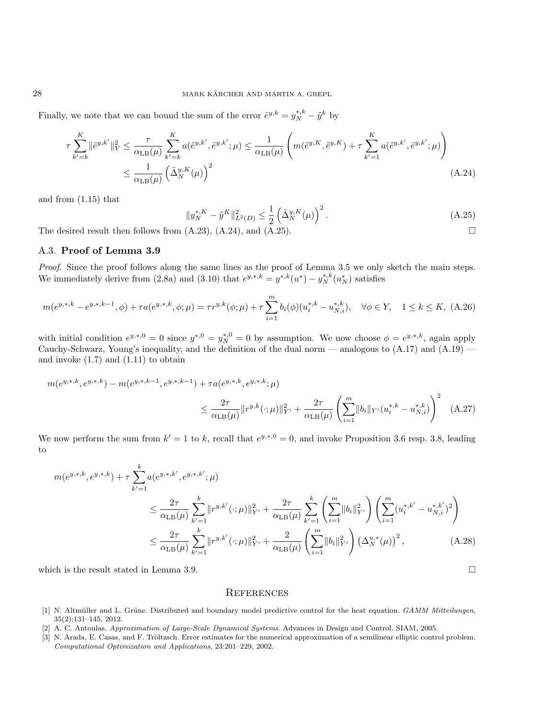Finally, we note that we can bound the sum of the error  $\tilde{e}^{y,k} = y_N^{*,k} - \tilde{y}^k$  by

$$
\tau \sum_{k'=k}^{K} \|\tilde{e}^{y,k'}\|_{Y}^{2} \leq \frac{\tau}{\alpha_{\text{LB}}(\mu)} \sum_{k'=k}^{K} a(\tilde{e}^{y,k'}, \tilde{e}^{y,k'}; \mu) \leq \frac{1}{\alpha_{\text{LB}}(\mu)} \left( m(\tilde{e}^{y,K}, \tilde{e}^{y,K}) + \tau \sum_{k'=1}^{K} a(\tilde{e}^{y,k'}, \tilde{e}^{y,k'}; \mu) \right)
$$
\n
$$
\leq \frac{1}{\alpha_{\text{LB}}(\mu)} \left( \tilde{\Delta}_{N}^{y,K}(\mu) \right)^{2} \tag{A.24}
$$

and from (1.15) that

$$
||y_N^{*,K} - \tilde{y}^K||_{L^2(D)}^2 \le \frac{1}{2} \left(\tilde{\Delta}_N^{y,K}(\mu)\right)^2.
$$
\n(A.25)

The desired result then follows from  $(A.23)$ ,  $(A.24)$ , and  $(A.25)$ .

### A.3. Proof of Lemma 3.9

Proof. Since the proof follows along the same lines as the proof of Lemma 3.5 we only sketch the main steps. We immediately derive from (2.8a) and (3.10) that  $e^{y,*,k} = y^{*,k}(u^*) - y_N^{*,k}(u_N^*)$  satisfies

$$
m(e^{y,*,k} - e^{y,*,k-1}, \phi) + \tau a(e^{y,*,k}, \phi; \mu) = \tau r^{y,k}(\phi; \mu) + \tau \sum_{i=1}^{m} b_i(\phi)(u_i^{*,k} - u_{N,i}^{*,k}), \quad \forall \phi \in Y, \quad 1 \le k \le K, \tag{A.26}
$$

with initial condition  $e^{y^*,0} = 0$  since  $y^{*,0} = y_N^{*,0} = 0$  by assumption. We now choose  $\phi = e^{y^*,k}$ , again apply Cauchy-Schwarz, Young's inequality, and the definition of the dual norm — analogous to  $(A.17)$  and  $(A.19)$  and invoke  $(1.7)$  and  $(1.11)$  to obtain

$$
m(e^{y,*,k}, e^{y,*,k}) - m(e^{y,*,k-1}, e^{y,*,k-1}) + \tau a(e^{y,*,k}, e^{y,*,k}; \mu)
$$
  

$$
\leq \frac{2\tau}{\alpha_{\text{LB}}(\mu)} ||r^{y,k}(\cdot;\mu)||_Y^2 + \frac{2\tau}{\alpha_{\text{LB}}(\mu)} \left(\sum_{i=1}^m ||b_i||_{Y'} (u_i^{*,k} - u_{N,i}^{*,k})\right)^2
$$
(A.27)

We now perform the sum from  $k' = 1$  to k, recall that  $e^{y,*,0} = 0$ , and invoke Proposition 3.6 resp. 3.8, leading to

$$
m(e^{y,*,k},e^{y,*,k}) + \tau \sum_{k'=1}^{k} a(e^{y,*,k'},e^{y,*,k'};\mu)
$$
  
\n
$$
\leq \frac{2\tau}{\alpha_{\text{LB}}(\mu)} \sum_{k'=1}^{k} ||r^{y,k'}(\cdot;\mu)||_{Y'}^2 + \frac{2\tau}{\alpha_{\text{LB}}(\mu)} \sum_{k'=1}^{k} \left( \sum_{i=1}^{m} ||b_i||_{Y'}^2 \right) \left( \sum_{i=1}^{m} (u_i^{*,k'} - u_{N,i}^{*,k'})^2 \right)
$$
  
\n
$$
\leq \frac{2\tau}{\alpha_{\text{LB}}(\mu)} \sum_{k'=1}^{k} ||r^{y,k'}(\cdot;\mu)||_{Y'}^2 + \frac{2}{\alpha_{\text{LB}}(\mu)} \left( \sum_{i=1}^{m} ||b_i||_{Y'}^2 \right) \left( \Delta_N^{u,*}(\mu) \right)^2, \tag{A.28}
$$

which is the result stated in Lemma 3.9.

#### **REFERENCES**

- [1] N. Altmüller and L. Grüne. Distributed and boundary model predictive control for the heat equation. GAMM Mitteilungen, 35(2):131–145, 2012.
- [2] A. C. Antoulas. Approximation of Large-Scale Dynamical Systems. Advances in Design and Control. SIAM, 2005.
- [3] N. Arada, E. Casas, and F. Tröltzsch. Error estimates for the numerical approximation of a semilinear elliptic control problem. Computational Optimization and Applications, 23:201–229, 2002.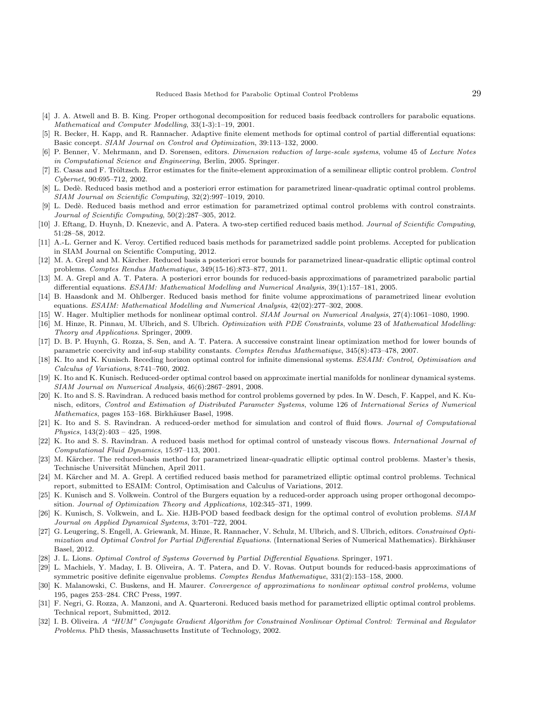- [4] J. A. Atwell and B. B. King. Proper orthogonal decomposition for reduced basis feedback controllers for parabolic equations. Mathematical and Computer Modelling, 33(1-3):1–19, 2001.
- [5] R. Becker, H. Kapp, and R. Rannacher. Adaptive finite element methods for optimal control of partial differential equations: Basic concept. SIAM Journal on Control and Optimization, 39:113–132, 2000.
- [6] P. Benner, V. Mehrmann, and D. Sorensen, editors. *Dimension reduction of large-scale systems*, volume 45 of Lecture Notes in Computational Science and Engineering, Berlin, 2005. Springer.
- [7] E. Casas and F. Tröltzsch. Error estimates for the finite-element approximation of a semilinear elliptic control problem. Control Cybernet, 90:695–712, 2002.
- [8] L. Dedè. Reduced basis method and a posteriori error estimation for parametrized linear-quadratic optimal control problems. SIAM Journal on Scientific Computing, 32(2):997–1019, 2010.
- L. Dedè. Reduced basis method and error estimation for parametrized optimal control problems with control constraints. Journal of Scientific Computing, 50(2):287–305, 2012.
- [10] J. Eftang, D. Huynh, D. Knezevic, and A. Patera. A two-step certified reduced basis method. Journal of Scientific Computing, 51:28–58, 2012.
- [11] A.-L. Gerner and K. Veroy. Certified reduced basis methods for parametrized saddle point problems. Accepted for publication in SIAM Journal on Scientific Computing, 2012.
- [12] M. A. Grepl and M. Kärcher. Reduced basis a posteriori error bounds for parametrized linear-quadratic elliptic optimal control problems. Comptes Rendus Mathematique, 349(15-16):873–877, 2011.
- [13] M. A. Grepl and A. T. Patera. A posteriori error bounds for reduced-basis approximations of parametrized parabolic partial differential equations. ESAIM: Mathematical Modelling and Numerical Analysis, 39(1):157–181, 2005.
- [14] B. Haasdonk and M. Ohlberger. Reduced basis method for finite volume approximations of parametrized linear evolution equations. ESAIM: Mathematical Modelling and Numerical Analysis, 42(02):277–302, 2008.
- [15] W. Hager. Multiplier methods for nonlinear optimal control. SIAM Journal on Numerical Analysis, 27(4):1061–1080, 1990.
- [16] M. Hinze, R. Pinnau, M. Ulbrich, and S. Ulbrich. Optimization with PDE Constraints, volume 23 of Mathematical Modelling: Theory and Applications. Springer, 2009.
- [17] D. B. P. Huynh, G. Rozza, S. Sen, and A. T. Patera. A successive constraint linear optimization method for lower bounds of parametric coercivity and inf-sup stability constants. Comptes Rendus Mathematique, 345(8):473–478, 2007.
- [18] K. Ito and K. Kunisch. Receding horizon optimal control for infinite dimensional systems. ESAIM: Control, Optimisation and Calculus of Variations, 8:741–760, 2002.
- [19] K. Ito and K. Kunisch. Reduced-order optimal control based on approximate inertial manifolds for nonlinear dynamical systems. SIAM Journal on Numerical Analysis, 46(6):2867–2891, 2008.
- [20] K. Ito and S. S. Ravindran. A reduced basis method for control problems governed by pdes. In W. Desch, F. Kappel, and K. Kunisch, editors, Control and Estimation of Distributed Parameter Systems, volume 126 of International Series of Numerical Mathematics, pages 153–168. Birkhäuser Basel, 1998.
- [21] K. Ito and S. S. Ravindran. A reduced-order method for simulation and control of fluid flows. Journal of Computational Physics, 143(2):403 – 425, 1998.
- [22] K. Ito and S. S. Ravindran. A reduced basis method for optimal control of unsteady viscous flows. International Journal of Computational Fluid Dynamics, 15:97–113, 2001.
- [23] M. Kärcher. The reduced-basis method for parametrized linear-quadratic elliptic optimal control problems. Master's thesis, Technische Universität München, April 2011.
- [24] M. Kärcher and M. A. Grepl. A certified reduced basis method for parametrized elliptic optimal control problems. Technical report, submitted to ESAIM: Control, Optimisation and Calculus of Variations, 2012.
- [25] K. Kunisch and S. Volkwein. Control of the Burgers equation by a reduced-order approach using proper orthogonal decomposition. Journal of Optimization Theory and Applications, 102:345–371, 1999.
- [26] K. Kunisch, S. Volkwein, and L. Xie. HJB-POD based feedback design for the optimal control of evolution problems. SIAM Journal on Applied Dynamical Systems, 3:701–722, 2004.
- [27] G. Leugering, S. Engell, A. Griewank, M. Hinze, R. Rannacher, V. Schulz, M. Ulbrich, and S. Ulbrich, editors. Constrained Optimization and Optimal Control for Partial Differential Equations. (International Series of Numerical Mathematics). Birkhäuser Basel, 2012.
- [28] J. L. Lions. Optimal Control of Systems Governed by Partial Differential Equations. Springer, 1971.
- [29] L. Machiels, Y. Maday, I. B. Oliveira, A. T. Patera, and D. V. Rovas. Output bounds for reduced-basis approximations of symmetric positive definite eigenvalue problems. Comptes Rendus Mathematique, 331(2):153-158, 2000.
- [30] K. Malanowski, C. Buskens, and H. Maurer. Convergence of approximations to nonlinear optimal control problems, volume 195, pages 253–284. CRC Press, 1997.
- [31] F. Negri, G. Rozza, A. Manzoni, and A. Quarteroni. Reduced basis method for parametrized elliptic optimal control problems. Technical report, Submitted, 2012.
- [32] I. B. Oliveira. A "HUM" Conjugate Gradient Algorithm for Constrained Nonlinear Optimal Control: Terminal and Regulator Problems. PhD thesis, Massachusetts Institute of Technology, 2002.